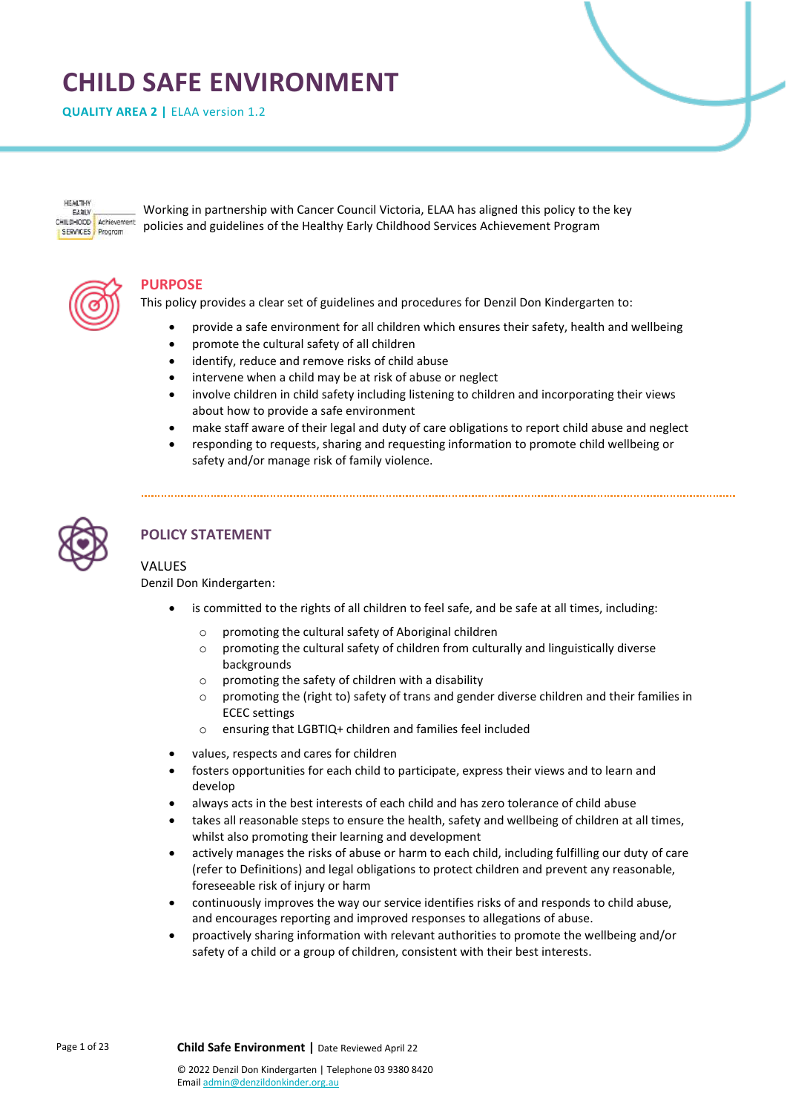# **CHILD SAFE ENVIRONMENT**

**QUALITY AREA 2 |** ELAA version 1.2

**HEALTHY** EARLY CHILDHOOD Achievement SERVICES Program

Working in partnership with Cancer Council Victoria, ELAA has aligned this policy to the key policies and guidelines of the Healthy Early Childhood Services Achievement Program



## **PURPOSE**

This policy provides a clear set of guidelines and procedures for Denzil Don Kindergarten to:

- provide a safe environment for all children which ensures their safety, health and wellbeing
- promote the cultural safety of all children
- identify, reduce and remove risks of child abuse
- intervene when a child may be at risk of abuse or neglect
- involve children in child safety including listening to children and incorporating their views about how to provide a safe environment
- make staff aware of their legal and duty of care obligations to report child abuse and neglect
- responding to requests, sharing and requesting information to promote child wellbeing or safety and/or manage risk of family violence.



# **POLICY STATEMENT**

## VALUES

Denzil Don Kindergarten:

- is committed to the rights of all children to feel safe, and be safe at all times, including:
	- o promoting the cultural safety of Aboriginal children
	- $\circ$  promoting the cultural safety of children from culturally and linguistically diverse backgrounds
	- o promoting the safety of children with a disability
	- o promoting the (right to) safety of trans and gender diverse children and their families in ECEC settings
	- o ensuring that LGBTIQ+ children and families feel included
- values, respects and cares for children
- fosters opportunities for each child to participate, express their views and to learn and develop
- always acts in the best interests of each child and has zero tolerance of child abuse
- takes all reasonable steps to ensure the health, safety and wellbeing of children at all times, whilst also promoting their learning and development
- actively manages the risks of abuse or harm to each child, including fulfilling our duty of care (refer to Definitions) and legal obligations to protect children and prevent any reasonable, foreseeable risk of injury or harm
- continuously improves the way our service identifies risks of and responds to child abuse, and encourages reporting and improved responses to allegations of abuse.
- proactively sharing information with relevant authorities to promote the wellbeing and/or safety of a child or a group of children, consistent with their best interests.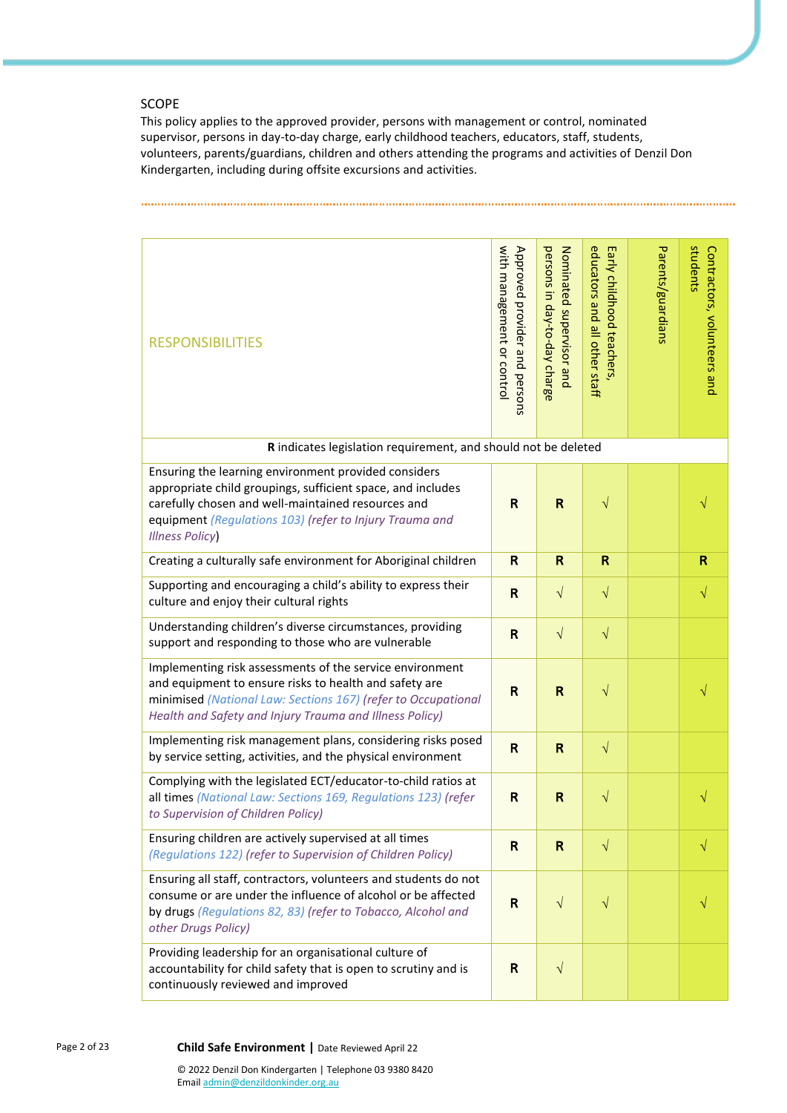## SCOPE

This policy applies to the approved provider, persons with management or control, nominated supervisor, persons in day-to-day charge, early childhood teachers, educators, staff, students, volunteers, parents/guardians, children and others attending the programs and activities of Denzil Don Kindergarten, including during offsite excursions and activities.

| <b>RESPONSIBILITIES</b>                                                                                                                                                                                                                                       | with management or control<br>Approved provider and persons | persons in day-to-day charge<br>Nominated supervisor and | educators and all other staff<br>Early childhood teachers | Parents/guardians | students<br>Contractors, volunteers and |
|---------------------------------------------------------------------------------------------------------------------------------------------------------------------------------------------------------------------------------------------------------------|-------------------------------------------------------------|----------------------------------------------------------|-----------------------------------------------------------|-------------------|-----------------------------------------|
| R indicates legislation requirement, and should not be deleted                                                                                                                                                                                                |                                                             |                                                          |                                                           |                   |                                         |
| Ensuring the learning environment provided considers<br>appropriate child groupings, sufficient space, and includes<br>carefully chosen and well-maintained resources and<br>equipment (Regulations 103) (refer to Injury Trauma and<br><b>Illness Policy</b> | R                                                           | $\mathsf R$                                              | $\sqrt{}$                                                 |                   |                                         |
| Creating a culturally safe environment for Aboriginal children                                                                                                                                                                                                | R                                                           | $\mathsf R$                                              | $\mathsf R$                                               |                   | R                                       |
| Supporting and encouraging a child's ability to express their<br>culture and enjoy their cultural rights                                                                                                                                                      | R                                                           | $\sqrt{ }$                                               | $\sqrt{}$                                                 |                   | $\sqrt{}$                               |
| Understanding children's diverse circumstances, providing<br>support and responding to those who are vulnerable                                                                                                                                               | R                                                           | $\sqrt{}$                                                | $\sqrt{}$                                                 |                   |                                         |
| Implementing risk assessments of the service environment<br>and equipment to ensure risks to health and safety are<br>minimised (National Law: Sections 167) (refer to Occupational<br>Health and Safety and Injury Trauma and Illness Policy)                | R                                                           | R                                                        | $\sqrt{}$                                                 |                   |                                         |
| Implementing risk management plans, considering risks posed<br>by service setting, activities, and the physical environment                                                                                                                                   | R                                                           | R                                                        | $\sqrt{}$                                                 |                   |                                         |
| Complying with the legislated ECT/educator-to-child ratios at<br>all times (National Law: Sections 169, Regulations 123) (refer<br>to Supervision of Children Policy)                                                                                         | R                                                           | $\mathsf R$                                              | $\sqrt{}$                                                 |                   | $\sqrt{}$                               |
| Ensuring children are actively supervised at all times<br>(Regulations 122) (refer to Supervision of Children Policy)                                                                                                                                         | $\mathsf{R}$                                                | $\mathsf{R}$                                             | $\sqrt{}$                                                 |                   | $\sqrt{}$                               |
| Ensuring all staff, contractors, volunteers and students do not<br>consume or are under the influence of alcohol or be affected<br>by drugs (Regulations 82, 83) (refer to Tobacco, Alcohol and<br>other Drugs Policy)                                        | R                                                           | $\sqrt{ }$                                               | $\sqrt{}$                                                 |                   |                                         |
| Providing leadership for an organisational culture of<br>accountability for child safety that is open to scrutiny and is<br>continuously reviewed and improved                                                                                                | R                                                           | $\sqrt{}$                                                |                                                           |                   |                                         |

Page 2 of 23 **Child Safe Environment |** Date Reviewed April 22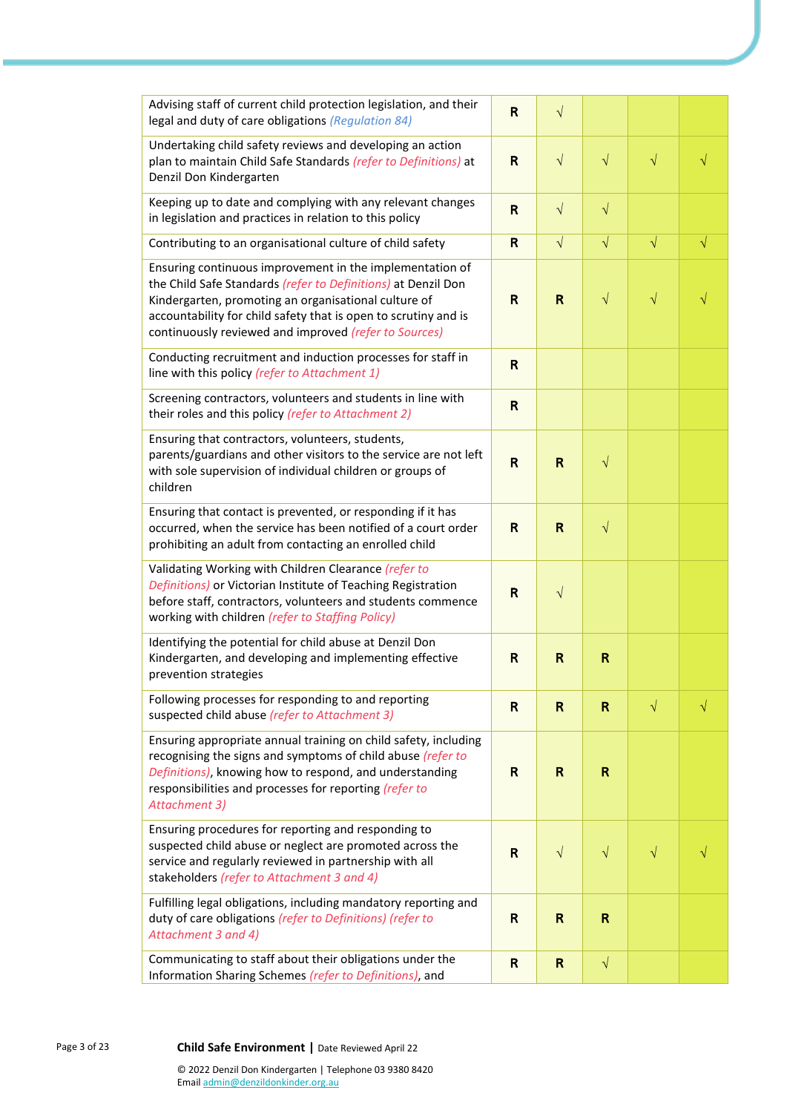| Advising staff of current child protection legislation, and their<br>legal and duty of care obligations (Regulation 84)                                                                                                                                                                                       | R                                                                                                                                                                                                                                                                                                                                                                                                                                                    | $\sqrt{}$    |           |           |           |
|---------------------------------------------------------------------------------------------------------------------------------------------------------------------------------------------------------------------------------------------------------------------------------------------------------------|------------------------------------------------------------------------------------------------------------------------------------------------------------------------------------------------------------------------------------------------------------------------------------------------------------------------------------------------------------------------------------------------------------------------------------------------------|--------------|-----------|-----------|-----------|
| Undertaking child safety reviews and developing an action<br>plan to maintain Child Safe Standards (refer to Definitions) at<br>Denzil Don Kindergarten                                                                                                                                                       | $\mathsf{R}$                                                                                                                                                                                                                                                                                                                                                                                                                                         | $\sqrt{}$    | $\sqrt{}$ | $\sqrt{}$ | $\sqrt{}$ |
| Keeping up to date and complying with any relevant changes<br>in legislation and practices in relation to this policy                                                                                                                                                                                         | $\mathsf{R}$                                                                                                                                                                                                                                                                                                                                                                                                                                         | $\sqrt{ }$   | $\sqrt{}$ |           |           |
| Contributing to an organisational culture of child safety                                                                                                                                                                                                                                                     | $\sqrt{ }$<br>$\sqrt{}$<br>$\sqrt{}$<br>$\mathsf{R}$<br>$\sqrt{}$<br>$\sqrt{}$<br>$\mathsf{R}$<br>$\mathbf R$<br>$\sqrt{}$<br>R<br>$\mathsf{R}$<br>$\mathsf{R}$<br>$\mathsf{R}$<br>$\sqrt{}$<br>$\mathsf{R}$<br>$\sqrt{}$<br>R<br>$\sqrt{}$<br>$\mathsf{R}$<br>R<br>R<br>$\mathbf R$<br>$\mathsf{R}$<br>R<br>$\sqrt{}$<br>R<br>V<br>$\mathsf{R}$<br>$\mathbf R$<br>R<br>$\sqrt{}$<br>$\sqrt{}$<br>$\mathsf{R}$<br>$\sqrt{}$<br>R<br>R<br>$\mathbf R$ |              |           |           |           |
| Ensuring continuous improvement in the implementation of<br>the Child Safe Standards (refer to Definitions) at Denzil Don<br>Kindergarten, promoting an organisational culture of<br>accountability for child safety that is open to scrutiny and is<br>continuously reviewed and improved (refer to Sources) |                                                                                                                                                                                                                                                                                                                                                                                                                                                      |              |           |           |           |
| Conducting recruitment and induction processes for staff in<br>line with this policy (refer to Attachment 1)                                                                                                                                                                                                  |                                                                                                                                                                                                                                                                                                                                                                                                                                                      |              |           |           |           |
| Screening contractors, volunteers and students in line with<br>their roles and this policy (refer to Attachment 2)                                                                                                                                                                                            |                                                                                                                                                                                                                                                                                                                                                                                                                                                      |              |           |           |           |
| Ensuring that contractors, volunteers, students,<br>parents/guardians and other visitors to the service are not left<br>with sole supervision of individual children or groups of<br>children                                                                                                                 |                                                                                                                                                                                                                                                                                                                                                                                                                                                      |              |           |           |           |
| Ensuring that contact is prevented, or responding if it has<br>occurred, when the service has been notified of a court order<br>prohibiting an adult from contacting an enrolled child                                                                                                                        |                                                                                                                                                                                                                                                                                                                                                                                                                                                      |              |           |           |           |
| Validating Working with Children Clearance (refer to<br>Definitions) or Victorian Institute of Teaching Registration<br>before staff, contractors, volunteers and students commence<br>working with children (refer to Staffing Policy)                                                                       |                                                                                                                                                                                                                                                                                                                                                                                                                                                      |              |           |           |           |
| Identifying the potential for child abuse at Denzil Don<br>Kindergarten, and developing and implementing effective<br>prevention strategies                                                                                                                                                                   |                                                                                                                                                                                                                                                                                                                                                                                                                                                      |              |           |           |           |
| Following processes for responding to and reporting<br>suspected child abuse (refer to Attachment 3)                                                                                                                                                                                                          |                                                                                                                                                                                                                                                                                                                                                                                                                                                      |              |           |           |           |
| Ensuring appropriate annual training on child safety, including<br>recognising the signs and symptoms of child abuse (refer to<br>Definitions), knowing how to respond, and understanding<br>responsibilities and processes for reporting (refer to<br><b>Attachment 3)</b>                                   |                                                                                                                                                                                                                                                                                                                                                                                                                                                      |              |           |           |           |
| Ensuring procedures for reporting and responding to<br>suspected child abuse or neglect are promoted across the<br>service and regularly reviewed in partnership with all<br>stakeholders (refer to Attachment 3 and 4)                                                                                       |                                                                                                                                                                                                                                                                                                                                                                                                                                                      |              |           |           |           |
| Fulfilling legal obligations, including mandatory reporting and<br>duty of care obligations (refer to Definitions) (refer to<br>Attachment 3 and 4)                                                                                                                                                           |                                                                                                                                                                                                                                                                                                                                                                                                                                                      |              |           |           |           |
| Communicating to staff about their obligations under the<br>Information Sharing Schemes (refer to Definitions), and                                                                                                                                                                                           | $\mathsf{R}$                                                                                                                                                                                                                                                                                                                                                                                                                                         | $\mathsf{R}$ | $\sqrt{}$ |           |           |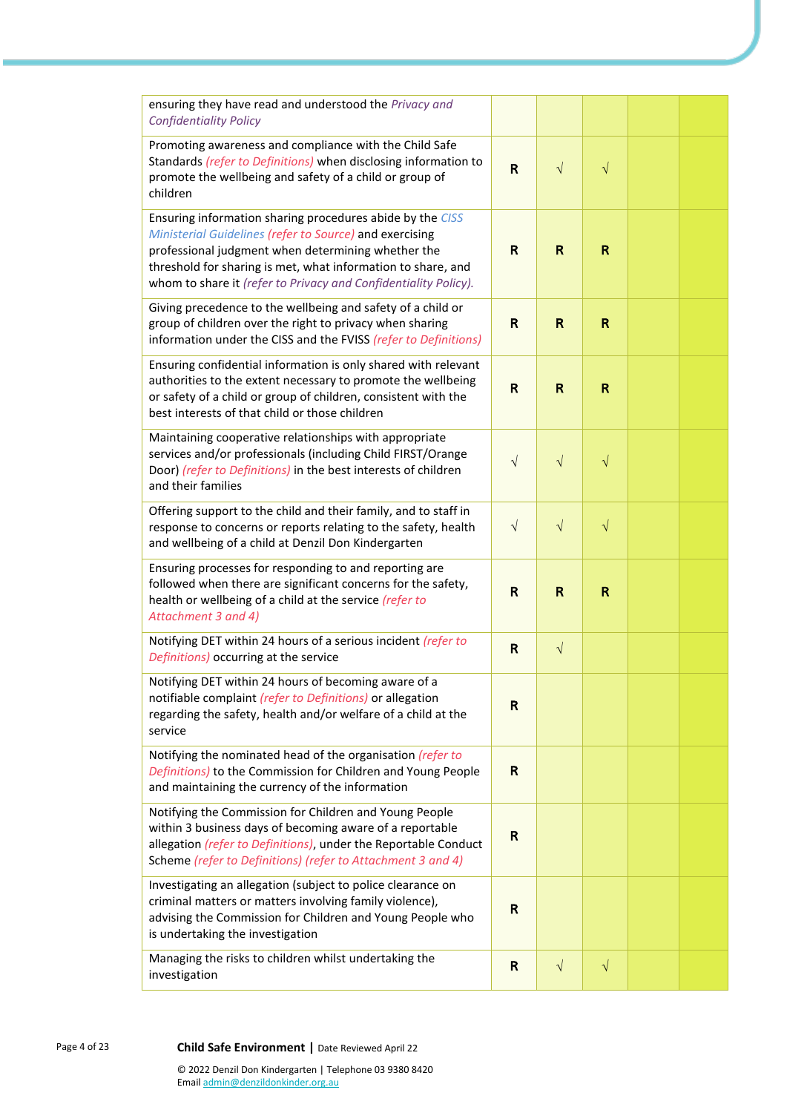| ensuring they have read and understood the Privacy and<br><b>Confidentiality Policy</b>                                                                                                                                                                                                                       |              |              |           |  |
|---------------------------------------------------------------------------------------------------------------------------------------------------------------------------------------------------------------------------------------------------------------------------------------------------------------|--------------|--------------|-----------|--|
| Promoting awareness and compliance with the Child Safe<br>Standards (refer to Definitions) when disclosing information to<br>promote the wellbeing and safety of a child or group of<br>children                                                                                                              | $\mathsf{R}$ | $\sqrt{}$    | $\sqrt{}$ |  |
| Ensuring information sharing procedures abide by the CISS<br>Ministerial Guidelines (refer to Source) and exercising<br>professional judgment when determining whether the<br>threshold for sharing is met, what information to share, and<br>whom to share it (refer to Privacy and Confidentiality Policy). | R            | $\mathbf R$  | R         |  |
| Giving precedence to the wellbeing and safety of a child or<br>group of children over the right to privacy when sharing<br>information under the CISS and the FVISS (refer to Definitions)                                                                                                                    | R            | $\mathsf{R}$ | R         |  |
| Ensuring confidential information is only shared with relevant<br>authorities to the extent necessary to promote the wellbeing<br>or safety of a child or group of children, consistent with the<br>best interests of that child or those children                                                            | R            | R            | R         |  |
| Maintaining cooperative relationships with appropriate<br>services and/or professionals (including Child FIRST/Orange<br>Door) (refer to Definitions) in the best interests of children<br>and their families                                                                                                 | $\sqrt{ }$   | $\sqrt{}$    | $\sqrt{}$ |  |
| Offering support to the child and their family, and to staff in<br>response to concerns or reports relating to the safety, health<br>and wellbeing of a child at Denzil Don Kindergarten                                                                                                                      | $\sqrt{ }$   | $\sqrt{}$    | $\sqrt{}$ |  |
| Ensuring processes for responding to and reporting are<br>followed when there are significant concerns for the safety,<br>health or wellbeing of a child at the service (refer to<br>Attachment 3 and 4)                                                                                                      | R            | $\mathbf R$  | R         |  |
| Notifying DET within 24 hours of a serious incident (refer to<br>Definitions) occurring at the service                                                                                                                                                                                                        | $\mathbf R$  | $\sqrt{ }$   |           |  |
| Notifying DET within 24 hours of becoming aware of a<br>notifiable complaint (refer to Definitions) or allegation<br>regarding the safety, health and/or welfare of a child at the<br>service                                                                                                                 | R            |              |           |  |
| Notifying the nominated head of the organisation (refer to<br>Definitions) to the Commission for Children and Young People<br>and maintaining the currency of the information                                                                                                                                 | R            |              |           |  |
| Notifying the Commission for Children and Young People<br>within 3 business days of becoming aware of a reportable<br>allegation (refer to Definitions), under the Reportable Conduct<br>Scheme (refer to Definitions) (refer to Attachment 3 and 4)                                                          | $\mathsf{R}$ |              |           |  |
| Investigating an allegation (subject to police clearance on<br>criminal matters or matters involving family violence),<br>advising the Commission for Children and Young People who<br>is undertaking the investigation                                                                                       | R            |              |           |  |
| Managing the risks to children whilst undertaking the<br>investigation                                                                                                                                                                                                                                        | R            | $\sqrt{}$    | $\sqrt{}$ |  |

Page 4 of 23 **Child Safe Environment |** Date Reviewed April 22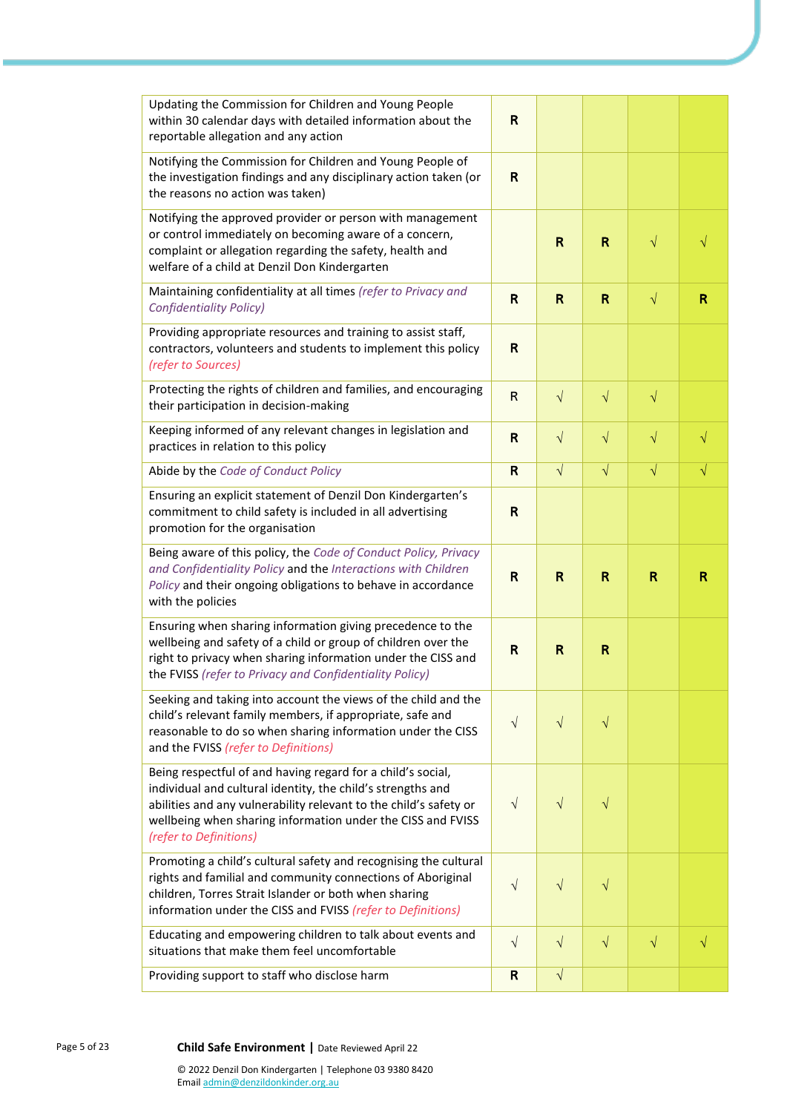| Updating the Commission for Children and Young People<br>within 30 calendar days with detailed information about the<br>reportable allegation and any action                                                                                                                             | $\mathsf{R}$ |              |              |              |           |
|------------------------------------------------------------------------------------------------------------------------------------------------------------------------------------------------------------------------------------------------------------------------------------------|--------------|--------------|--------------|--------------|-----------|
| Notifying the Commission for Children and Young People of<br>the investigation findings and any disciplinary action taken (or<br>the reasons no action was taken)                                                                                                                        | $\mathsf{R}$ |              |              |              |           |
| Notifying the approved provider or person with management<br>or control immediately on becoming aware of a concern,<br>complaint or allegation regarding the safety, health and<br>welfare of a child at Denzil Don Kindergarten                                                         |              | $\mathsf{R}$ | $\mathsf{R}$ | $\sqrt{}$    | $\sqrt{}$ |
| Maintaining confidentiality at all times (refer to Privacy and<br><b>Confidentiality Policy)</b>                                                                                                                                                                                         | R            | $\mathsf{R}$ | R            | $\sqrt{}$    | R         |
| Providing appropriate resources and training to assist staff,<br>contractors, volunteers and students to implement this policy<br>(refer to Sources)                                                                                                                                     | R            |              |              |              |           |
| Protecting the rights of children and families, and encouraging<br>their participation in decision-making                                                                                                                                                                                | $\mathsf{R}$ | $\sqrt{}$    | $\sqrt{}$    | $\sqrt{}$    |           |
| Keeping informed of any relevant changes in legislation and<br>practices in relation to this policy                                                                                                                                                                                      | $\mathsf{R}$ | $\sqrt{}$    | $\sqrt{}$    | $\sqrt{}$    |           |
| Abide by the Code of Conduct Policy                                                                                                                                                                                                                                                      | $\mathbf R$  | $\sqrt{ }$   | $\sqrt{}$    | $\sqrt{}$    | $\sqrt{}$ |
| Ensuring an explicit statement of Denzil Don Kindergarten's<br>commitment to child safety is included in all advertising<br>promotion for the organisation                                                                                                                               | $\mathsf{R}$ |              |              |              |           |
| Being aware of this policy, the Code of Conduct Policy, Privacy<br>and Confidentiality Policy and the Interactions with Children<br>Policy and their ongoing obligations to behave in accordance<br>with the policies                                                                    | $\mathsf{R}$ | $\mathbf R$  | R            | $\mathsf{R}$ | R         |
| Ensuring when sharing information giving precedence to the<br>wellbeing and safety of a child or group of children over the<br>right to privacy when sharing information under the CISS and<br>the FVISS (refer to Privacy and Confidentiality Policy)                                   | $\mathsf{R}$ | $\mathsf R$  | R            |              |           |
| Seeking and taking into account the views of the child and the<br>child's relevant family members, if appropriate, safe and<br>reasonable to do so when sharing information under the CISS<br>and the FVISS (refer to Definitions)                                                       | $\sqrt{}$    | $\sqrt{}$    | $\sqrt{}$    |              |           |
| Being respectful of and having regard for a child's social,<br>individual and cultural identity, the child's strengths and<br>abilities and any vulnerability relevant to the child's safety or<br>wellbeing when sharing information under the CISS and FVISS<br>(refer to Definitions) | $\sqrt{ }$   | $\sqrt{}$    | $\sqrt{}$    |              |           |
|                                                                                                                                                                                                                                                                                          |              |              |              |              |           |
| Promoting a child's cultural safety and recognising the cultural<br>rights and familial and community connections of Aboriginal<br>children, Torres Strait Islander or both when sharing<br>information under the CISS and FVISS (refer to Definitions)                                  | $\sqrt{ }$   | $\sqrt{}$    | $\sqrt{}$    |              |           |
| Educating and empowering children to talk about events and<br>situations that make them feel uncomfortable                                                                                                                                                                               | $\sqrt{}$    | $\sqrt{}$    | $\sqrt{}$    | $\sqrt{}$    | $\sqrt{}$ |

Page 5 of 23 **Child Safe Environment |** Date Reviewed April 22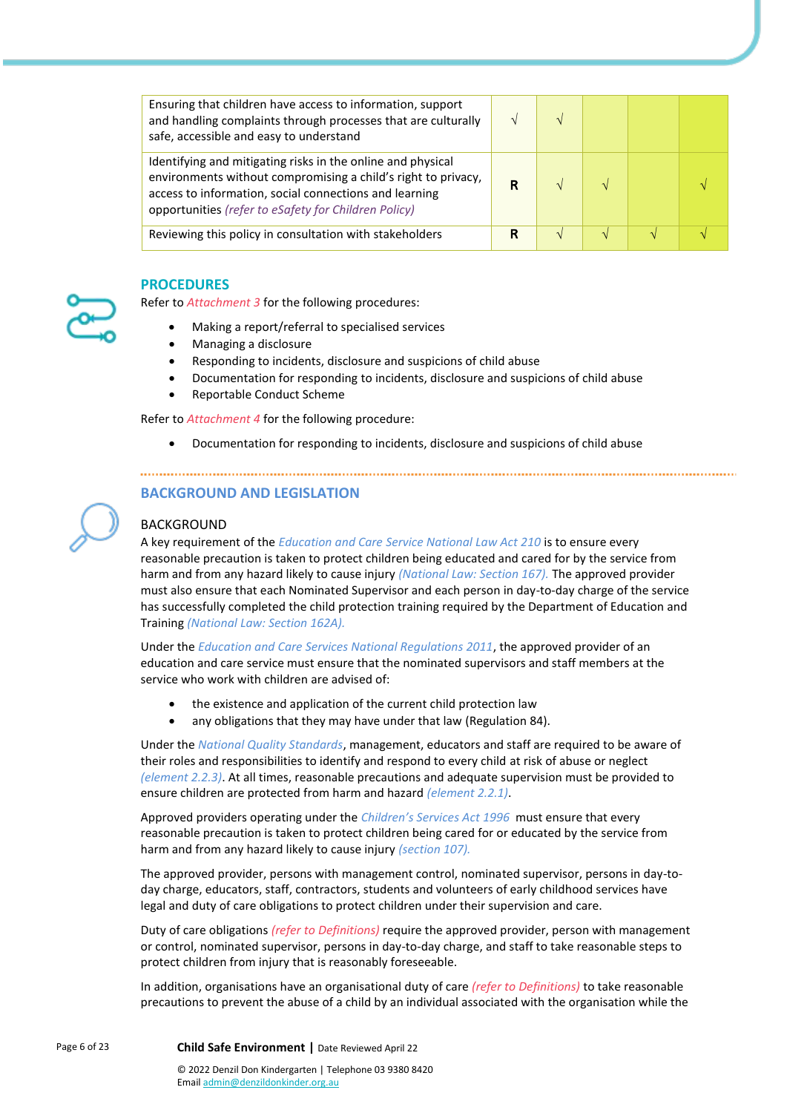| Ensuring that children have access to information, support<br>and handling complaints through processes that are culturally<br>safe, accessible and easy to understand                                                                         |   |               |  |
|------------------------------------------------------------------------------------------------------------------------------------------------------------------------------------------------------------------------------------------------|---|---------------|--|
| Identifying and mitigating risks in the online and physical<br>environments without compromising a child's right to privacy,<br>access to information, social connections and learning<br>opportunities (refer to eSafety for Children Policy) | R |               |  |
| Reviewing this policy in consultation with stakeholders                                                                                                                                                                                        | R | $\mathcal{N}$ |  |

#### **PROCEDURES**

Refer to *Attachment 3* for the following procedures:

- Making a report/referral to specialised services
- Managing a disclosure
- Responding to incidents, disclosure and suspicions of child abuse
- Documentation for responding to incidents, disclosure and suspicions of child abuse
- Reportable Conduct Scheme

Refer to *Attachment 4* for the following procedure:

• Documentation for responding to incidents, disclosure and suspicions of child abuse

## **BACKGROUND AND LEGISLATION**

#### BACKGROUND

A key requirement of the *Education and Care Service National Law Act 210* is to ensure every reasonable precaution is taken to protect children being educated and cared for by the service from harm and from any hazard likely to cause injury *(National Law: Section 167).* The approved provider must also ensure that each Nominated Supervisor and each person in day-to-day charge of the service has successfully completed the child protection training required by the Department of Education and Training *(National Law: Section 162A).*

Under the *Education and Care Services National Regulations 2011*, the approved provider of an education and care service must ensure that the nominated supervisors and staff members at the service who work with children are advised of:

- the existence and application of the current child protection law
- any obligations that they may have under that law (Regulation 84).

Under the *National Quality Standards*, management, educators and staff are required to be aware of their roles and responsibilities to identify and respond to every child at risk of abuse or neglect *(element 2.2.3)*. At all times, reasonable precautions and adequate supervision must be provided to ensure children are protected from harm and hazard *(element 2.2.1)*.

Approved providers operating under the *Children's Services Act 1996* must ensure that every reasonable precaution is taken to protect children being cared for or educated by the service from harm and from any hazard likely to cause injury *(section 107).*

The approved provider, persons with management control, nominated supervisor, persons in day-today charge, educators, staff, contractors, students and volunteers of early childhood services have legal and duty of care obligations to protect children under their supervision and care.

Duty of care obligations *(refer to Definitions)* require the approved provider, person with management or control, nominated supervisor, persons in day-to-day charge, and staff to take reasonable steps to protect children from injury that is reasonably foreseeable.

In addition, organisations have an organisational duty of care *(refer to Definitions)* to take reasonable precautions to prevent the abuse of a child by an individual associated with the organisation while the

Emai[l admin@denzildonkinder.org.au](mailto:membersolutions@elaa.org.au)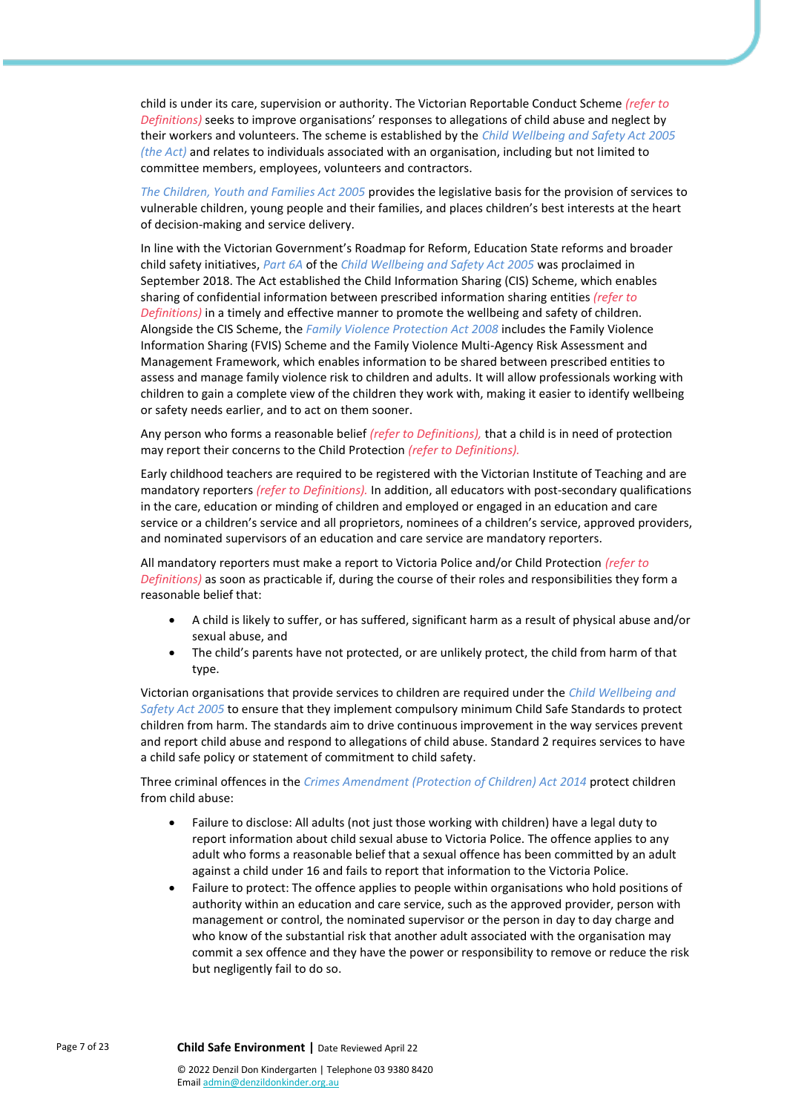child is under its care, supervision or authority. The Victorian Reportable Conduct Scheme *(refer to Definitions)* seeks to improve organisations' responses to allegations of child abuse and neglect by their workers and volunteers. The scheme is established by the *Child Wellbeing and Safety Act 2005 (the Act)* and relates to individuals associated with an organisation, including but not limited to committee members, employees, volunteers and contractors.

*The Children, Youth and Families Act 2005* provides the legislative basis for the provision of services to vulnerable children, young people and their families, and places children's best interests at the heart of decision-making and service delivery.

In line with the Victorian Government's Roadmap for Reform, Education State reforms and broader child safety initiatives, *Part 6A* of the *Child Wellbeing and Safety Act 2005* was proclaimed in September 2018. The Act established the Child Information Sharing (CIS) Scheme, which enables sharing of confidential information between prescribed information sharing entities *(refer to Definitions)* in a timely and effective manner to promote the wellbeing and safety of children. Alongside the CIS Scheme, the *Family Violence Protection Act 2008* includes the Family Violence Information Sharing (FVIS) Scheme and the Family Violence Multi-Agency Risk Assessment and Management Framework, which enables information to be shared between prescribed entities to assess and manage family violence risk to children and adults. It will allow professionals working with children to gain a complete view of the children they work with, making it easier to identify wellbeing or safety needs earlier, and to act on them sooner.

Any person who forms a reasonable belief *(refer to Definitions),* that a child is in need of protection may report their concerns to the Child Protection *(refer to Definitions).*

Early childhood teachers are required to be registered with the Victorian Institute of Teaching and are mandatory reporters *(refer to Definitions).* In addition, all educators with post-secondary qualifications in the care, education or minding of children and employed or engaged in an education and care service or a children's service and all proprietors, nominees of a children's service, approved providers, and nominated supervisors of an education and care service are mandatory reporters.

All mandatory reporters must make a report to Victoria Police and/or Child Protection *(refer to Definitions)* as soon as practicable if, during the course of their roles and responsibilities they form a reasonable belief that:

- A child is likely to suffer, or has suffered, significant harm as a result of physical abuse and/or sexual abuse, and
- The child's parents have not protected, or are unlikely protect, the child from harm of that type.

Victorian organisations that provide services to children are required under the *Child Wellbeing and Safety Act 2005* to ensure that they implement compulsory minimum Child Safe Standards to protect children from harm. The standards aim to drive continuous improvement in the way services prevent and report child abuse and respond to allegations of child abuse. Standard 2 requires services to have a child safe policy or statement of commitment to child safety.

Three criminal offences in the *Crimes Amendment (Protection of Children) Act 2014* protect children from child abuse:

- Failure to disclose: All adults (not just those working with children) have a legal duty to report information about child sexual abuse to Victoria Police. The offence applies to any adult who forms a reasonable belief that a sexual offence has been committed by an adult against a child under 16 and fails to report that information to the Victoria Police.
- Failure to protect: The offence applies to people within organisations who hold positions of authority within an education and care service, such as the approved provider, person with management or control, the nominated supervisor or the person in day to day charge and who know of the substantial risk that another adult associated with the organisation may commit a sex offence and they have the power or responsibility to remove or reduce the risk but negligently fail to do so.

Emai[l admin@denzildonkinder.org.au](mailto:membersolutions@elaa.org.au)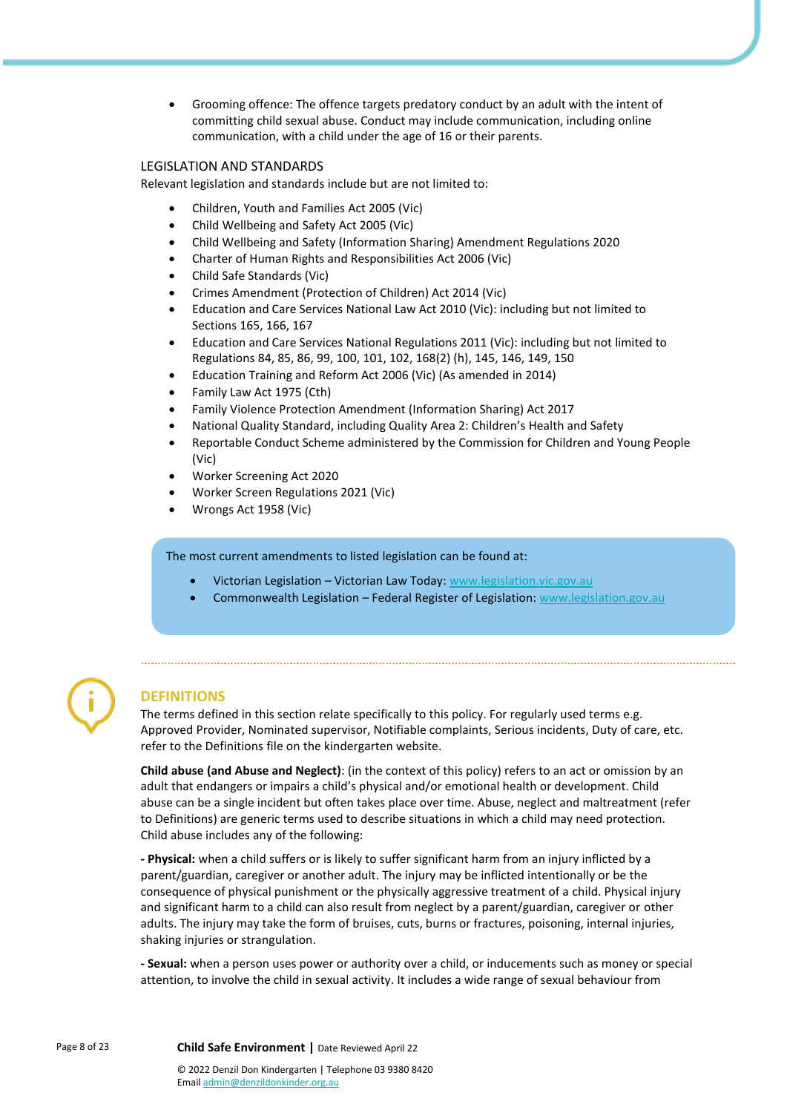• Grooming offence: The offence targets predatory conduct by an adult with the intent of committing child sexual abuse. Conduct may include communication, including online communication, with a child under the age of 16 or their parents.

#### LEGISLATION AND STANDARDS

Relevant legislation and standards include but are not limited to:

- Children, Youth and Families Act 2005 (Vic)
- Child Wellbeing and Safety Act 2005 (Vic)
- Child Wellbeing and Safety (Information Sharing) Amendment Regulations 2020
- Charter of Human Rights and Responsibilities Act 2006 (Vic)
- Child Safe Standards (Vic)
- Crimes Amendment (Protection of Children) Act 2014 (Vic)
- Education and Care Services National Law Act 2010 (Vic): including but not limited to Sections 165, 166, 167
- Education and Care Services National Regulations 2011 (Vic): including but not limited to Regulations 84, 85, 86, 99, 100, 101, 102, 168(2) (h), 145, 146, 149, 150
- Education Training and Reform Act 2006 (Vic) (As amended in 2014)
- Family Law Act 1975 (Cth)
- Family Violence Protection Amendment (Information Sharing) Act 2017
- National Quality Standard, including Quality Area 2: Children's Health and Safety
- Reportable Conduct Scheme administered by the Commission for Children and Young People (Vic)
- Worker Screening Act 2020
- Worker Screen Regulations 2021 (Vic)
- Wrongs Act 1958 (Vic)

The most current amendments to listed legislation can be found at:

- Victorian Legislation Victorian Law Today: [www.legislation.vic.gov.au](https://www.legislation.vic.gov.au/)
- Commonwealth Legislation Federal Register of Legislation: [www.legislation.gov.au](https://www.legislation.gov.au/)



# **DEFINITIONS**

The terms defined in this section relate specifically to this policy. For regularly used terms e.g. Approved Provider, Nominated supervisor, Notifiable complaints, Serious incidents, Duty of care, etc. refer to the Definitions file on the kindergarten website.

**Child abuse (and Abuse and Neglect)**: (in the context of this policy) refers to an act or omission by an adult that endangers or impairs a child's physical and/or emotional health or development. Child abuse can be a single incident but often takes place over time. Abuse, neglect and maltreatment (refer to Definitions) are generic terms used to describe situations in which a child may need protection. Child abuse includes any of the following:

**- Physical:** when a child suffers or is likely to suffer significant harm from an injury inflicted by a parent/guardian, caregiver or another adult. The injury may be inflicted intentionally or be the consequence of physical punishment or the physically aggressive treatment of a child. Physical injury and significant harm to a child can also result from neglect by a parent/guardian, caregiver or other adults. The injury may take the form of bruises, cuts, burns or fractures, poisoning, internal injuries, shaking injuries or strangulation.

**- Sexual:** when a person uses power or authority over a child, or inducements such as money or special attention, to involve the child in sexual activity. It includes a wide range of sexual behaviour from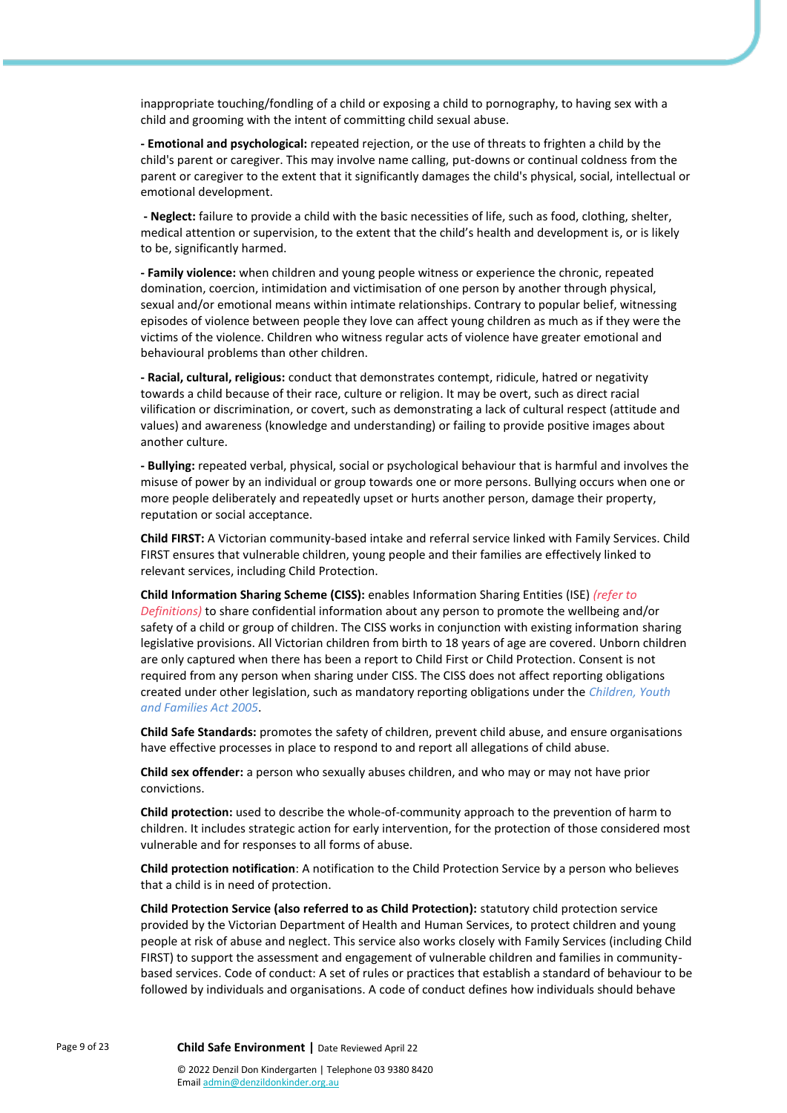inappropriate touching/fondling of a child or exposing a child to pornography, to having sex with a child and grooming with the intent of committing child sexual abuse.

**- Emotional and psychological:** repeated rejection, or the use of threats to frighten a child by the child's parent or caregiver. This may involve name calling, put-downs or continual coldness from the parent or caregiver to the extent that it significantly damages the child's physical, social, intellectual or emotional development.

**- Neglect:** failure to provide a child with the basic necessities of life, such as food, clothing, shelter, medical attention or supervision, to the extent that the child's health and development is, or is likely to be, significantly harmed.

**- Family violence:** when children and young people witness or experience the chronic, repeated domination, coercion, intimidation and victimisation of one person by another through physical, sexual and/or emotional means within intimate relationships. Contrary to popular belief, witnessing episodes of violence between people they love can affect young children as much as if they were the victims of the violence. Children who witness regular acts of violence have greater emotional and behavioural problems than other children.

**- Racial, cultural, religious:** conduct that demonstrates contempt, ridicule, hatred or negativity towards a child because of their race, culture or religion. It may be overt, such as direct racial vilification or discrimination, or covert, such as demonstrating a lack of cultural respect (attitude and values) and awareness (knowledge and understanding) or failing to provide positive images about another culture.

**- Bullying:** repeated verbal, physical, social or psychological behaviour that is harmful and involves the misuse of power by an individual or group towards one or more persons. Bullying occurs when one or more people deliberately and repeatedly upset or hurts another person, damage their property, reputation or social acceptance.

**Child FIRST:** A Victorian community-based intake and referral service linked with Family Services. Child FIRST ensures that vulnerable children, young people and their families are effectively linked to relevant services, including Child Protection.

**Child Information Sharing Scheme (CISS):** enables Information Sharing Entities (ISE) *(refer to Definitions)* to share confidential information about any person to promote the wellbeing and/or safety of a child or group of children. The CISS works in conjunction with existing information sharing legislative provisions. All Victorian children from birth to 18 years of age are covered. Unborn children are only captured when there has been a report to Child First or Child Protection. Consent is not required from any person when sharing under CISS. The CISS does not affect reporting obligations created under other legislation, such as mandatory reporting obligations under the *Children, Youth and Families Act 2005*.

**Child Safe Standards:** promotes the safety of children, prevent child abuse, and ensure organisations have effective processes in place to respond to and report all allegations of child abuse.

**Child sex offender:** a person who sexually abuses children, and who may or may not have prior convictions.

**Child protection:** used to describe the whole-of-community approach to the prevention of harm to children. It includes strategic action for early intervention, for the protection of those considered most vulnerable and for responses to all forms of abuse.

**Child protection notification**: A notification to the Child Protection Service by a person who believes that a child is in need of protection.

**Child Protection Service (also referred to as Child Protection):** statutory child protection service provided by the Victorian Department of Health and Human Services, to protect children and young people at risk of abuse and neglect. This service also works closely with Family Services (including Child FIRST) to support the assessment and engagement of vulnerable children and families in communitybased services. Code of conduct: A set of rules or practices that establish a standard of behaviour to be followed by individuals and organisations. A code of conduct defines how individuals should behave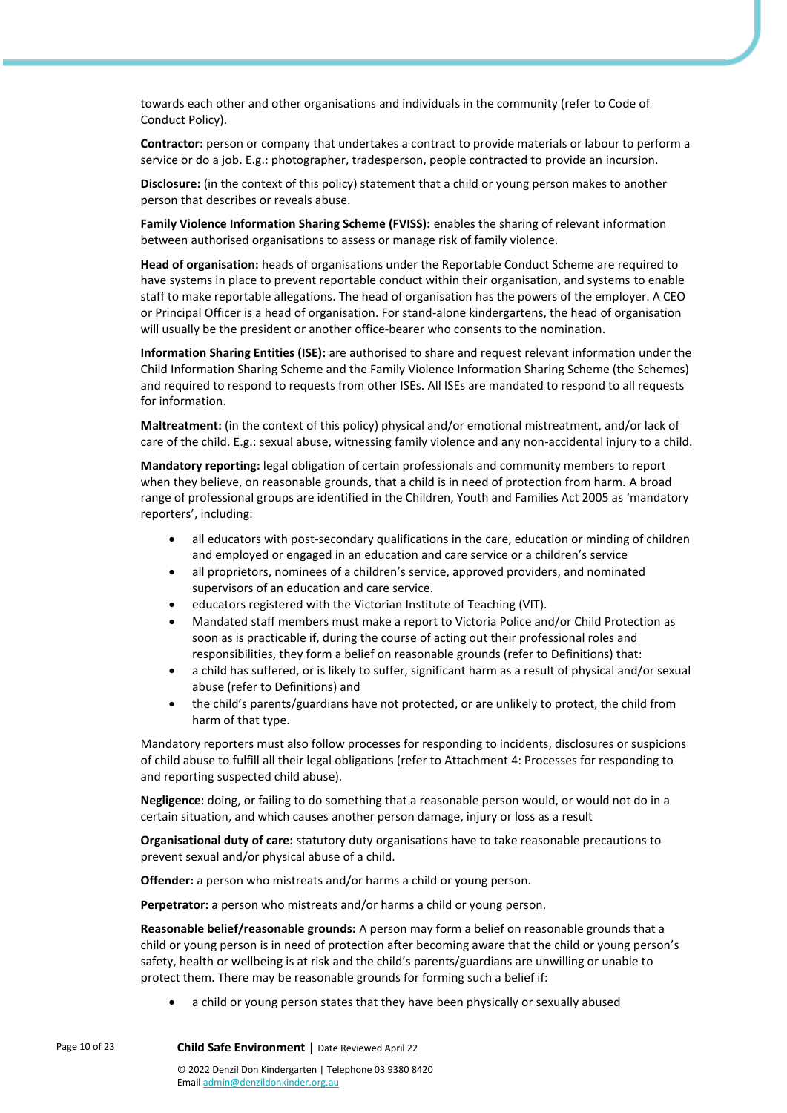towards each other and other organisations and individuals in the community (refer to Code of Conduct Policy).

**Contractor:** person or company that undertakes a contract to provide materials or labour to perform a service or do a job. E.g.: photographer, tradesperson, people contracted to provide an incursion.

**Disclosure:** (in the context of this policy) statement that a child or young person makes to another person that describes or reveals abuse.

**Family Violence Information Sharing Scheme (FVISS):** enables the sharing of relevant information between authorised organisations to assess or manage risk of family violence.

**Head of organisation:** heads of organisations under the Reportable Conduct Scheme are required to have systems in place to prevent reportable conduct within their organisation, and systems to enable staff to make reportable allegations. The head of organisation has the powers of the employer. A CEO or Principal Officer is a head of organisation. For stand-alone kindergartens, the head of organisation will usually be the president or another office-bearer who consents to the nomination.

**Information Sharing Entities (ISE):** are authorised to share and request relevant information under the Child Information Sharing Scheme and the Family Violence Information Sharing Scheme (the Schemes) and required to respond to requests from other ISEs. All ISEs are mandated to respond to all requests for information.

**Maltreatment:** (in the context of this policy) physical and/or emotional mistreatment, and/or lack of care of the child. E.g.: sexual abuse, witnessing family violence and any non-accidental injury to a child.

**Mandatory reporting:** legal obligation of certain professionals and community members to report when they believe, on reasonable grounds, that a child is in need of protection from harm. A broad range of professional groups are identified in the Children, Youth and Families Act 2005 as 'mandatory reporters', including:

- all educators with post-secondary qualifications in the care, education or minding of children and employed or engaged in an education and care service or a children's service
- all proprietors, nominees of a children's service, approved providers, and nominated supervisors of an education and care service.
- educators registered with the Victorian Institute of Teaching (VIT).
- Mandated staff members must make a report to Victoria Police and/or Child Protection as soon as is practicable if, during the course of acting out their professional roles and responsibilities, they form a belief on reasonable grounds (refer to Definitions) that:
- a child has suffered, or is likely to suffer, significant harm as a result of physical and/or sexual abuse (refer to Definitions) and
- the child's parents/guardians have not protected, or are unlikely to protect, the child from harm of that type.

Mandatory reporters must also follow processes for responding to incidents, disclosures or suspicions of child abuse to fulfill all their legal obligations (refer to Attachment 4: Processes for responding to and reporting suspected child abuse).

**Negligence**: doing, or failing to do something that a reasonable person would, or would not do in a certain situation, and which causes another person damage, injury or loss as a result

**Organisational duty of care:** statutory duty organisations have to take reasonable precautions to prevent sexual and/or physical abuse of a child.

**Offender:** a person who mistreats and/or harms a child or young person.

**Perpetrator:** a person who mistreats and/or harms a child or young person.

**Reasonable belief/reasonable grounds:** A person may form a belief on reasonable grounds that a child or young person is in need of protection after becoming aware that the child or young person's safety, health or wellbeing is at risk and the child's parents/guardians are unwilling or unable to protect them. There may be reasonable grounds for forming such a belief if:

• a child or young person states that they have been physically or sexually abused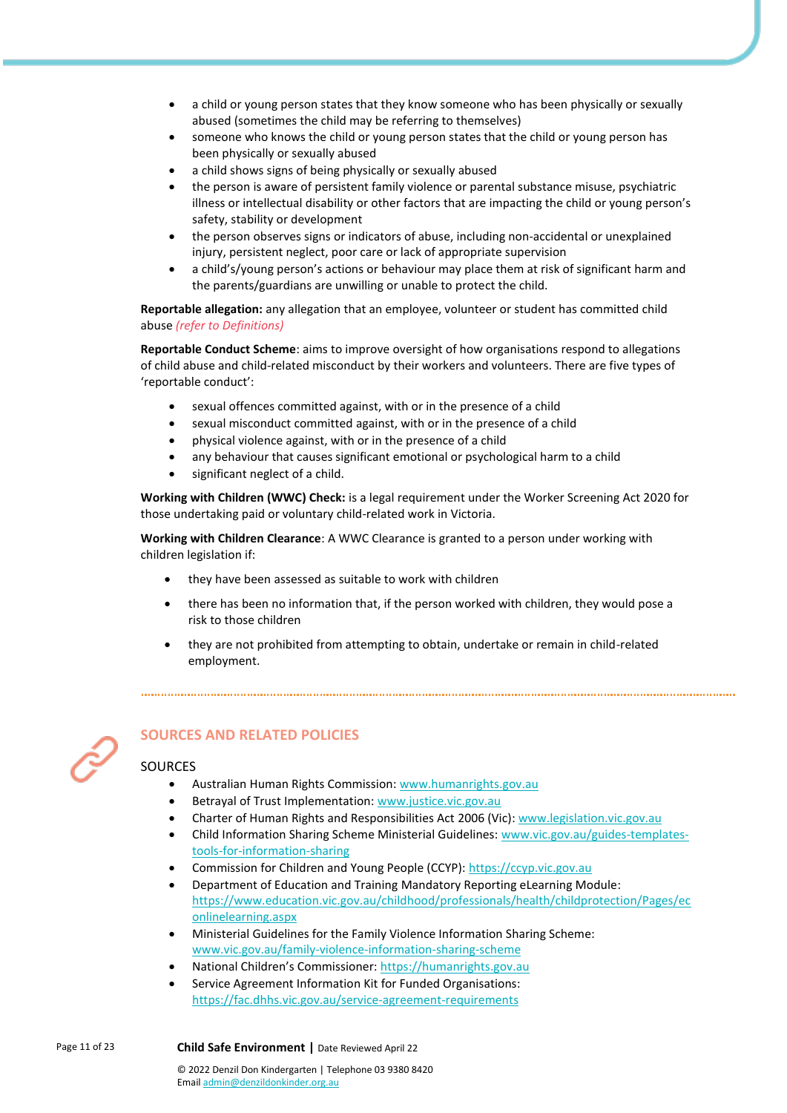- a child or young person states that they know someone who has been physically or sexually abused (sometimes the child may be referring to themselves)
- someone who knows the child or young person states that the child or young person has been physically or sexually abused
- a child shows signs of being physically or sexually abused
- the person is aware of persistent family violence or parental substance misuse, psychiatric illness or intellectual disability or other factors that are impacting the child or young person's safety, stability or development
- the person observes signs or indicators of abuse, including non-accidental or unexplained injury, persistent neglect, poor care or lack of appropriate supervision
- a child's/young person's actions or behaviour may place them at risk of significant harm and the parents/guardians are unwilling or unable to protect the child.

**Reportable allegation:** any allegation that an employee, volunteer or student has committed child abuse *(refer to Definitions)*

**Reportable Conduct Scheme**: aims to improve oversight of how organisations respond to allegations of child abuse and child-related misconduct by their workers and volunteers. There are five types of 'reportable conduct':

- sexual offences committed against, with or in the presence of a child
- sexual misconduct committed against, with or in the presence of a child
- physical violence against, with or in the presence of a child
- any behaviour that causes significant emotional or psychological harm to a child
- significant neglect of a child.

**Working with Children (WWC) Check:** is a legal requirement under the Worker Screening Act 2020 for those undertaking paid or voluntary child-related work in Victoria.

**Working with Children Clearance**: A WWC Clearance is granted to a person under working with children legislation if:

- they have been assessed as suitable to work with children
- there has been no information that, if the person worked with children, they would pose a risk to those children
- they are not prohibited from attempting to obtain, undertake or remain in child-related employment.



# **SOURCES AND RELATED POLICIES**

#### **SOURCES**

- Australian Human Rights Commission[: www.humanrights.gov.au](http://www.humanrights.gov.au/)
- Betrayal of Trust Implementation[: www.justice.vic.gov.au](http://www.justice.vic.gov.au/)
- Charter of Human Rights and Responsibilities Act 2006 (Vic): [www.legislation.vic.gov.au](http://www.legislation.vic.gov.au/)
- Child Information Sharing Scheme Ministerial Guidelines: [www.vic.gov.au/guides-templates](http://www.vic.gov.au/guides-templates-tools-for-information-sharing)[tools-for-information-sharing](http://www.vic.gov.au/guides-templates-tools-for-information-sharing)
- Commission for Children and Young People (CCYP): [https://ccyp.vic.gov.au](https://ccyp.vic.gov.au/)
- Department of Education and Training Mandatory Reporting eLearning Module: https://www.education.vic.gov.au/childhood/professionals/health/childprotection/Pages/ec onlinelearning.aspx
- Ministerial Guidelines for the Family Violence Information Sharing Scheme: [www.vic.gov.au/family-violence-information-sharing-scheme](http://www.vic.gov.au/family-violence-information-sharing-scheme)
- National Children's Commissioner: [https://humanrights.gov.au](https://humanrights.gov.au/our-work/about-national-childrens-commissioner)
- Service Agreement Information Kit for Funded Organisations: <https://fac.dhhs.vic.gov.au/service-agreement-requirements>

© 2022 Denzil Don Kindergarten | Telephone 03 9380 8420 Emai[l admin@denzildonkinder.org.au](mailto:membersolutions@elaa.org.au)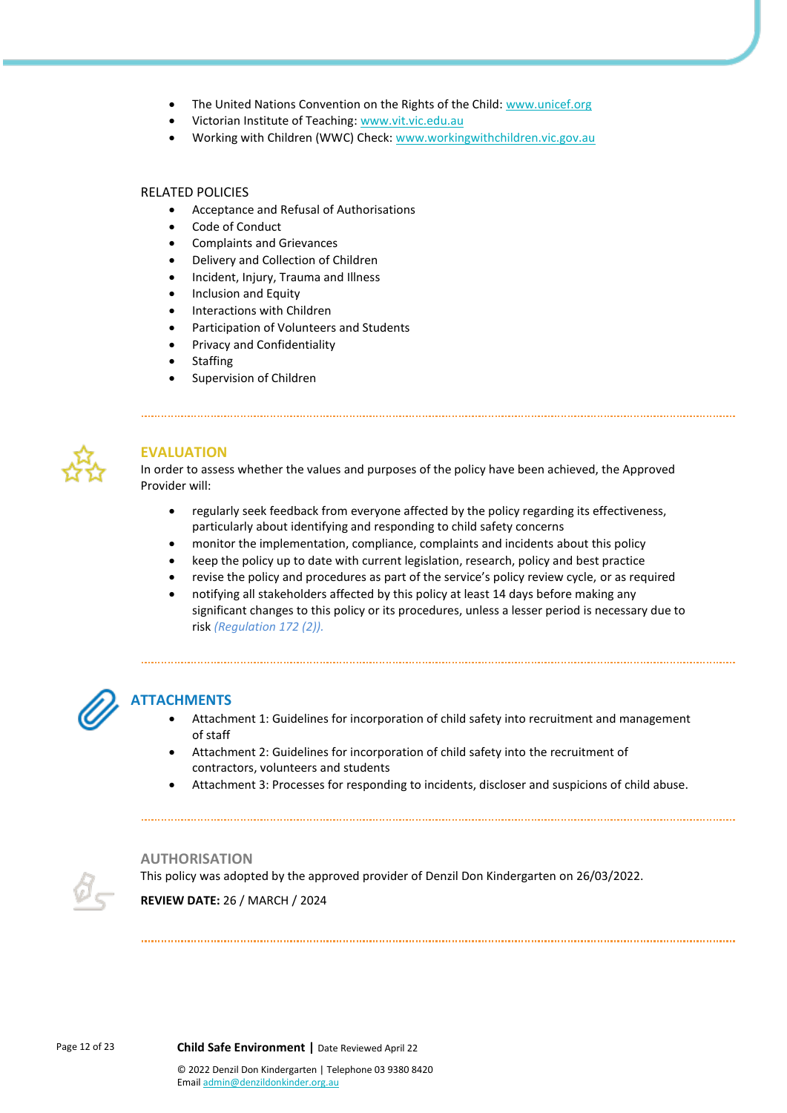- The United Nations Convention on the Rights of the Child: [www.unicef.org](http://www.unicef.org/)
- Victorian Institute of Teaching: [www.vit.vic.edu.au](http://www.vit.vic.edu.au/)
- Working with Children (WWC) Check[: www.workingwithchildren.vic.gov.au](http://www.workingwithchildren.vic.gov.au/)

#### RELATED POLICIES

- Acceptance and Refusal of Authorisations
- Code of Conduct
- Complaints and Grievances
- Delivery and Collection of Children
- Incident, Injury, Trauma and Illness
- Inclusion and Equity
- Interactions with Children
- Participation of Volunteers and Students
- Privacy and Confidentiality
- **Staffing**
- Supervision of Children



## **EVALUATION**

In order to assess whether the values and purposes of the policy have been achieved, the Approved Provider will:

- regularly seek feedback from everyone affected by the policy regarding its effectiveness, particularly about identifying and responding to child safety concerns
- monitor the implementation, compliance, complaints and incidents about this policy
- keep the policy up to date with current legislation, research, policy and best practice
- revise the policy and procedures as part of the service's policy review cycle, or as required
- notifying all stakeholders affected by this policy at least 14 days before making any significant changes to this policy or its procedures, unless a lesser period is necessary due to risk *(Regulation 172 (2)).*

# **ATTACHMENTS**

- Attachment 1: Guidelines for incorporation of child safety into recruitment and management of staff
- Attachment 2: Guidelines for incorporation of child safety into the recruitment of contractors, volunteers and students
- Attachment 3: Processes for responding to incidents, discloser and suspicions of child abuse.

#### **AUTHORISATION**

This policy was adopted by the approved provider of Denzil Don Kindergarten on 26/03/2022. **REVIEW DATE:** 26 / MARCH / 2024

Page 12 of 23 **Child Safe Environment |** Date Reviewed April 22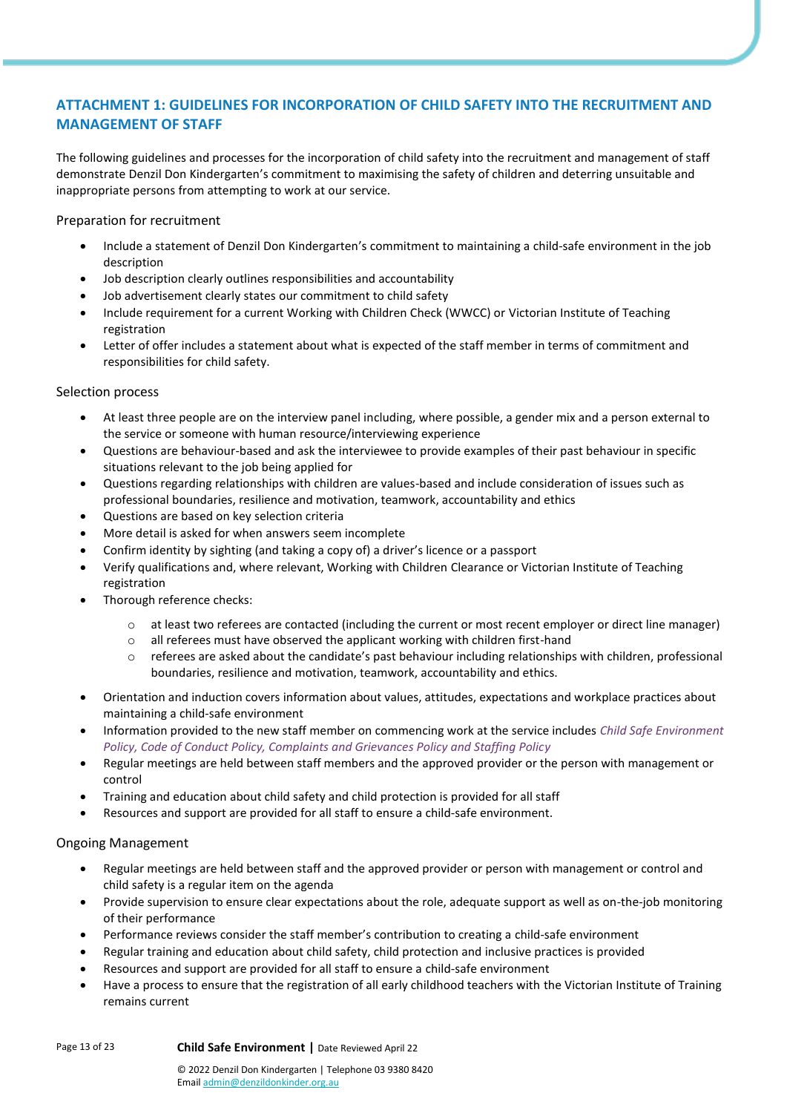# **ATTACHMENT 1: GUIDELINES FOR INCORPORATION OF CHILD SAFETY INTO THE RECRUITMENT AND MANAGEMENT OF STAFF**

The following guidelines and processes for the incorporation of child safety into the recruitment and management of staff demonstrate Denzil Don Kindergarten's commitment to maximising the safety of children and deterring unsuitable and inappropriate persons from attempting to work at our service.

Preparation for recruitment

- Include a statement of Denzil Don Kindergarten's commitment to maintaining a child-safe environment in the job description
- Job description clearly outlines responsibilities and accountability
- Job advertisement clearly states our commitment to child safety
- Include requirement for a current Working with Children Check (WWCC) or Victorian Institute of Teaching registration
- Letter of offer includes a statement about what is expected of the staff member in terms of commitment and responsibilities for child safety.

#### Selection process

- At least three people are on the interview panel including, where possible, a gender mix and a person external to the service or someone with human resource/interviewing experience
- Questions are behaviour-based and ask the interviewee to provide examples of their past behaviour in specific situations relevant to the job being applied for
- Questions regarding relationships with children are values-based and include consideration of issues such as professional boundaries, resilience and motivation, teamwork, accountability and ethics
- Questions are based on key selection criteria
- More detail is asked for when answers seem incomplete
- Confirm identity by sighting (and taking a copy of) a driver's licence or a passport
- Verify qualifications and, where relevant, Working with Children Clearance or Victorian Institute of Teaching registration
- Thorough reference checks:
	- o at least two referees are contacted (including the current or most recent employer or direct line manager)
	- o all referees must have observed the applicant working with children first-hand
	- o referees are asked about the candidate's past behaviour including relationships with children, professional boundaries, resilience and motivation, teamwork, accountability and ethics.
- Orientation and induction covers information about values, attitudes, expectations and workplace practices about maintaining a child-safe environment
- Information provided to the new staff member on commencing work at the service includes *Child Safe Environment Policy, Code of Conduct Policy, Complaints and Grievances Policy and Staffing Policy*
- Regular meetings are held between staff members and the approved provider or the person with management or control
- Training and education about child safety and child protection is provided for all staff
- Resources and support are provided for all staff to ensure a child-safe environment.

## Ongoing Management

- Regular meetings are held between staff and the approved provider or person with management or control and child safety is a regular item on the agenda
- Provide supervision to ensure clear expectations about the role, adequate support as well as on-the-job monitoring of their performance
- Performance reviews consider the staff member's contribution to creating a child-safe environment
- Regular training and education about child safety, child protection and inclusive practices is provided
- Resources and support are provided for all staff to ensure a child-safe environment
- Have a process to ensure that the registration of all early childhood teachers with the Victorian Institute of Training remains current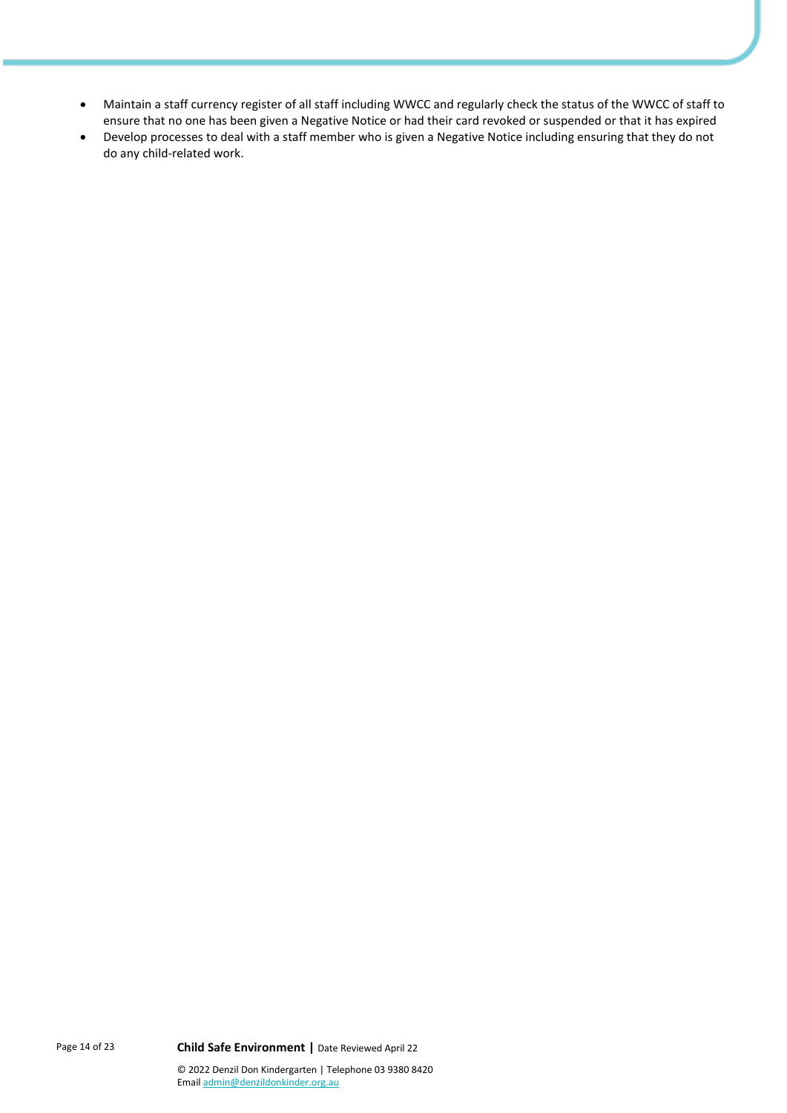- Maintain a staff currency register of all staff including WWCC and regularly check the status of the WWCC of staff to ensure that no one has been given a Negative Notice or had their card revoked or suspended or that it has expired
- Develop processes to deal with a staff member who is given a Negative Notice including ensuring that they do not do any child-related work.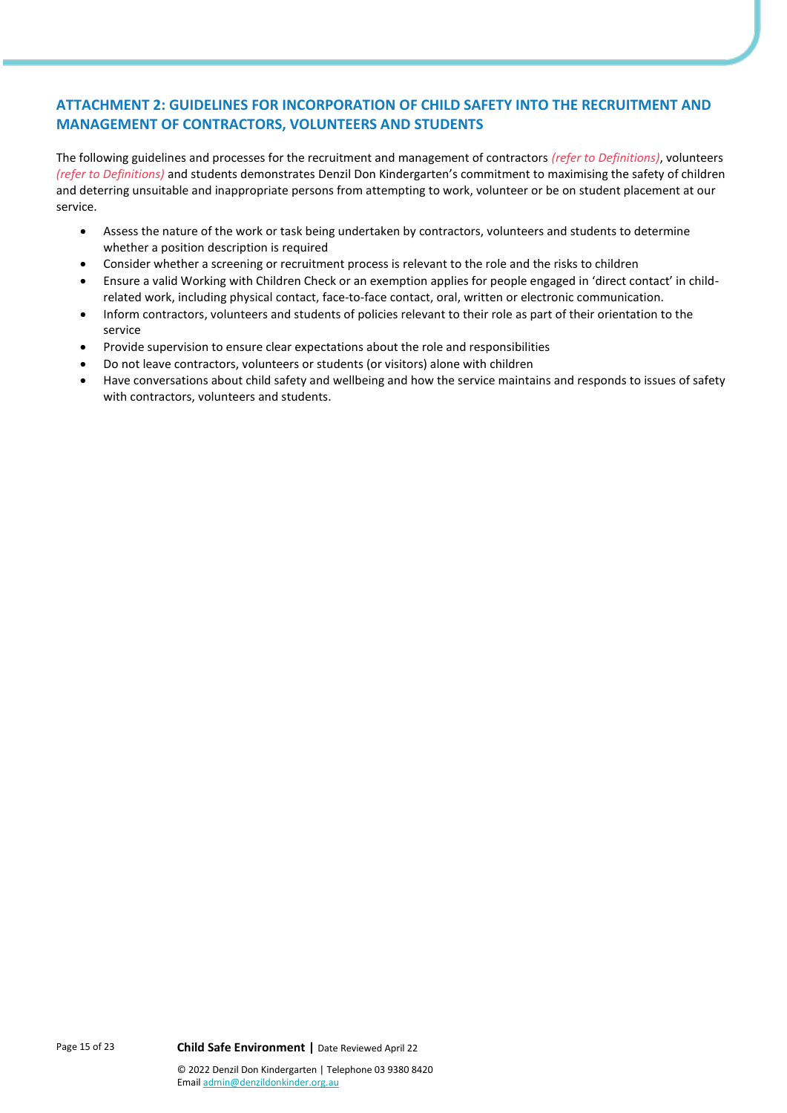# **ATTACHMENT 2: GUIDELINES FOR INCORPORATION OF CHILD SAFETY INTO THE RECRUITMENT AND MANAGEMENT OF CONTRACTORS, VOLUNTEERS AND STUDENTS**

The following guidelines and processes for the recruitment and management of contractors *(refer to Definitions)*, volunteers *(refer to Definitions)* and students demonstrates Denzil Don Kindergarten's commitment to maximising the safety of children and deterring unsuitable and inappropriate persons from attempting to work, volunteer or be on student placement at our service.

- Assess the nature of the work or task being undertaken by contractors, volunteers and students to determine whether a position description is required
- Consider whether a screening or recruitment process is relevant to the role and the risks to children
- Ensure a valid Working with Children Check or an exemption applies for people engaged in 'direct contact' in childrelated work, including physical contact, face-to-face contact, oral, written or electronic communication.
- Inform contractors, volunteers and students of policies relevant to their role as part of their orientation to the service
- Provide supervision to ensure clear expectations about the role and responsibilities
- Do not leave contractors, volunteers or students (or visitors) alone with children
- Have conversations about child safety and wellbeing and how the service maintains and responds to issues of safety with contractors, volunteers and students.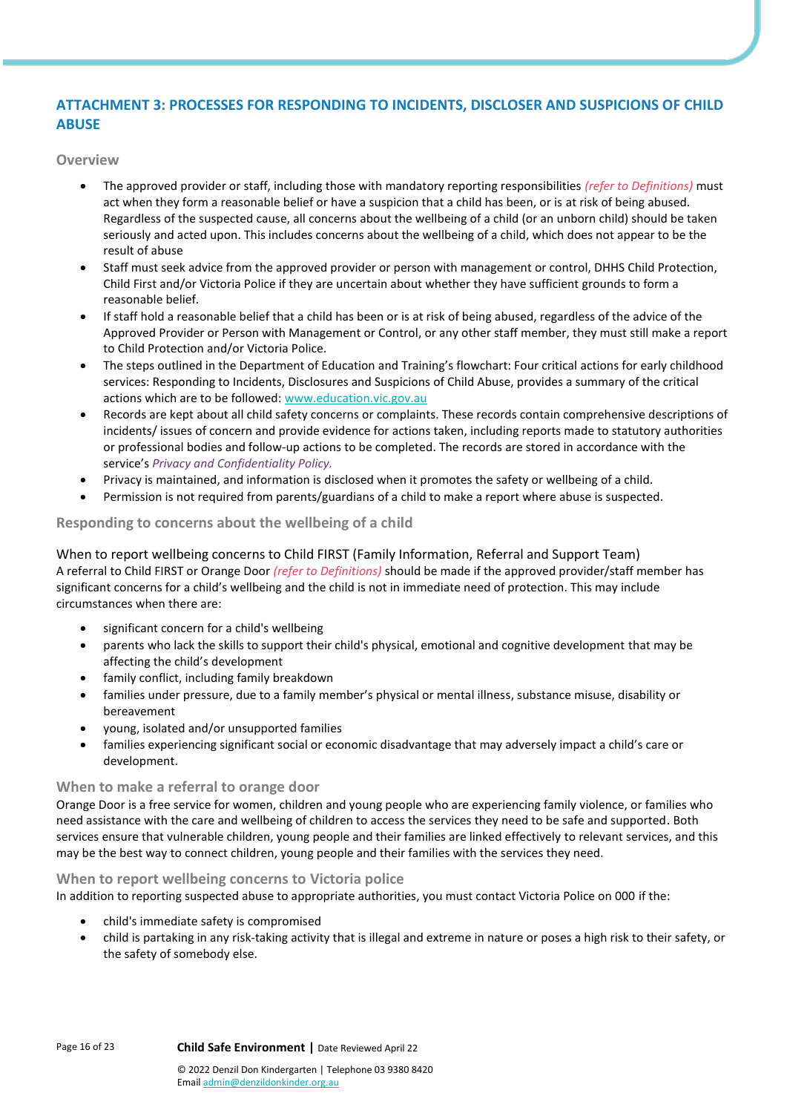# **ATTACHMENT 3: PROCESSES FOR RESPONDING TO INCIDENTS, DISCLOSER AND SUSPICIONS OF CHILD ABUSE**

**Overview**

- The approved provider or staff, including those with mandatory reporting responsibilities *(refer to Definitions)* must act when they form a reasonable belief or have a suspicion that a child has been, or is at risk of being abused. Regardless of the suspected cause, all concerns about the wellbeing of a child (or an unborn child) should be taken seriously and acted upon. This includes concerns about the wellbeing of a child, which does not appear to be the result of abuse
- Staff must seek advice from the approved provider or person with management or control, DHHS Child Protection, Child First and/or Victoria Police if they are uncertain about whether they have sufficient grounds to form a reasonable belief.
- If staff hold a reasonable belief that a child has been or is at risk of being abused, regardless of the advice of the Approved Provider or Person with Management or Control, or any other staff member, they must still make a report to Child Protection and/or Victoria Police.
- The steps outlined in the Department of Education and Training's flowchart: Four critical actions for early childhood services: Responding to Incidents, Disclosures and Suspicions of Child Abuse, provides a summary of the critical actions which are to be followed[: www.education.vic.gov.au](https://www.education.vic.gov.au/Pages/default.aspx)
- Records are kept about all child safety concerns or complaints. These records contain comprehensive descriptions of incidents/ issues of concern and provide evidence for actions taken, including reports made to statutory authorities or professional bodies and follow-up actions to be completed. The records are stored in accordance with the service's *Privacy and Confidentiality Policy.*
- Privacy is maintained, and information is disclosed when it promotes the safety or wellbeing of a child.
- Permission is not required from parents/guardians of a child to make a report where abuse is suspected.

## **Responding to concerns about the wellbeing of a child**

When to report wellbeing concerns to Child FIRST (Family Information, Referral and Support Team) A referral to Child FIRST or Orange Door *(refer to Definitions)* should be made if the approved provider/staff member has significant concerns for a child's wellbeing and the child is not in immediate need of protection. This may include circumstances when there are:

- significant concern for a child's wellbeing
- parents who lack the skills to support their child's physical, emotional and cognitive development that may be affecting the child's development
- family conflict, including family breakdown
- families under pressure, due to a family member's physical or mental illness, substance misuse, disability or bereavement
- young, isolated and/or unsupported families
- families experiencing significant social or economic disadvantage that may adversely impact a child's care or development.

## **When to make a referral to orange door**

Orange Door is a free service for women, children and young people who are experiencing family violence, or families who need assistance with the care and wellbeing of children to access the services they need to be safe and supported. Both services ensure that vulnerable children, young people and their families are linked effectively to relevant services, and this may be the best way to connect children, young people and their families with the services they need.

## **When to report wellbeing concerns to Victoria police**

In addition to reporting suspected abuse to appropriate authorities, you must contact Victoria Police on 000 if the:

- child's immediate safety is compromised
- child is partaking in any risk-taking activity that is illegal and extreme in nature or poses a high risk to their safety, or the safety of somebody else.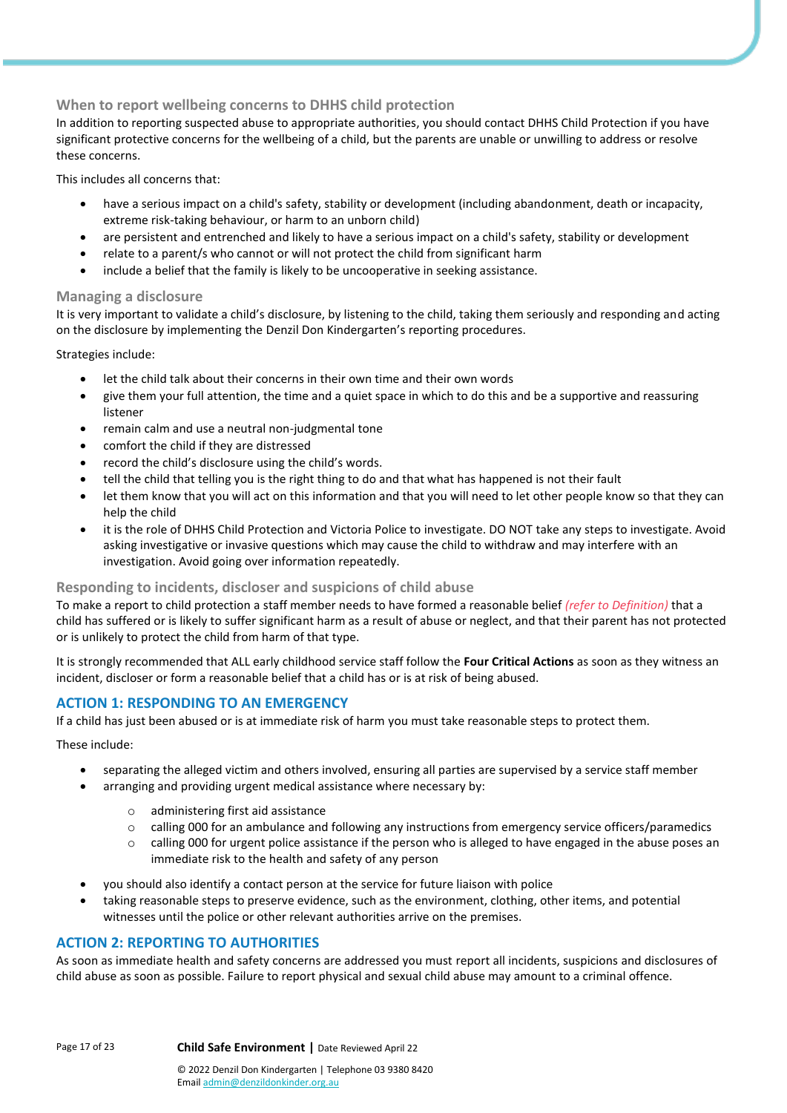## **When to report wellbeing concerns to DHHS child protection**

In addition to reporting suspected abuse to appropriate authorities, you should contact DHHS Child Protection if you have significant protective concerns for the wellbeing of a child, but the parents are unable or unwilling to address or resolve these concerns.

This includes all concerns that:

- have a serious impact on a child's safety, stability or development (including abandonment, death or incapacity, extreme risk-taking behaviour, or harm to an unborn child)
- are persistent and entrenched and likely to have a serious impact on a child's safety, stability or development
- relate to a parent/s who cannot or will not protect the child from significant harm
- include a belief that the family is likely to be uncooperative in seeking assistance.

#### **Managing a disclosure**

It is very important to validate a child's disclosure, by listening to the child, taking them seriously and responding and acting on the disclosure by implementing the Denzil Don Kindergarten's reporting procedures.

Strategies include:

- let the child talk about their concerns in their own time and their own words
- give them your full attention, the time and a quiet space in which to do this and be a supportive and reassuring listener
- remain calm and use a neutral non-judgmental tone
- comfort the child if they are distressed
- record the child's disclosure using the child's words.
- tell the child that telling you is the right thing to do and that what has happened is not their fault
- let them know that you will act on this information and that you will need to let other people know so that they can help the child
- it is the role of DHHS Child Protection and Victoria Police to investigate. DO NOT take any steps to investigate. Avoid asking investigative or invasive questions which may cause the child to withdraw and may interfere with an investigation. Avoid going over information repeatedly.

## **Responding to incidents, discloser and suspicions of child abuse**

To make a report to child protection a staff member needs to have formed a reasonable belief *(refer to Definition)* that a child has suffered or is likely to suffer significant harm as a result of abuse or neglect, and that their parent has not protected or is unlikely to protect the child from harm of that type.

It is strongly recommended that ALL early childhood service staff follow the **Four Critical Actions** as soon as they witness an incident, discloser or form a reasonable belief that a child has or is at risk of being abused.

## **ACTION 1: RESPONDING TO AN EMERGENCY**

If a child has just been abused or is at immediate risk of harm you must take reasonable steps to protect them.

These include:

- separating the alleged victim and others involved, ensuring all parties are supervised by a service staff member
- arranging and providing urgent medical assistance where necessary by:
	- o administering first aid assistance
	- $\circ$  calling 000 for an ambulance and following any instructions from emergency service officers/paramedics
	- $\circ$  calling 000 for urgent police assistance if the person who is alleged to have engaged in the abuse poses an immediate risk to the health and safety of any person
- you should also identify a contact person at the service for future liaison with police
- taking reasonable steps to preserve evidence, such as the environment, clothing, other items, and potential witnesses until the police or other relevant authorities arrive on the premises.

## **ACTION 2: REPORTING TO AUTHORITIES**

As soon as immediate health and safety concerns are addressed you must report all incidents, suspicions and disclosures of child abuse as soon as possible. Failure to report physical and sexual child abuse may amount to a criminal offence.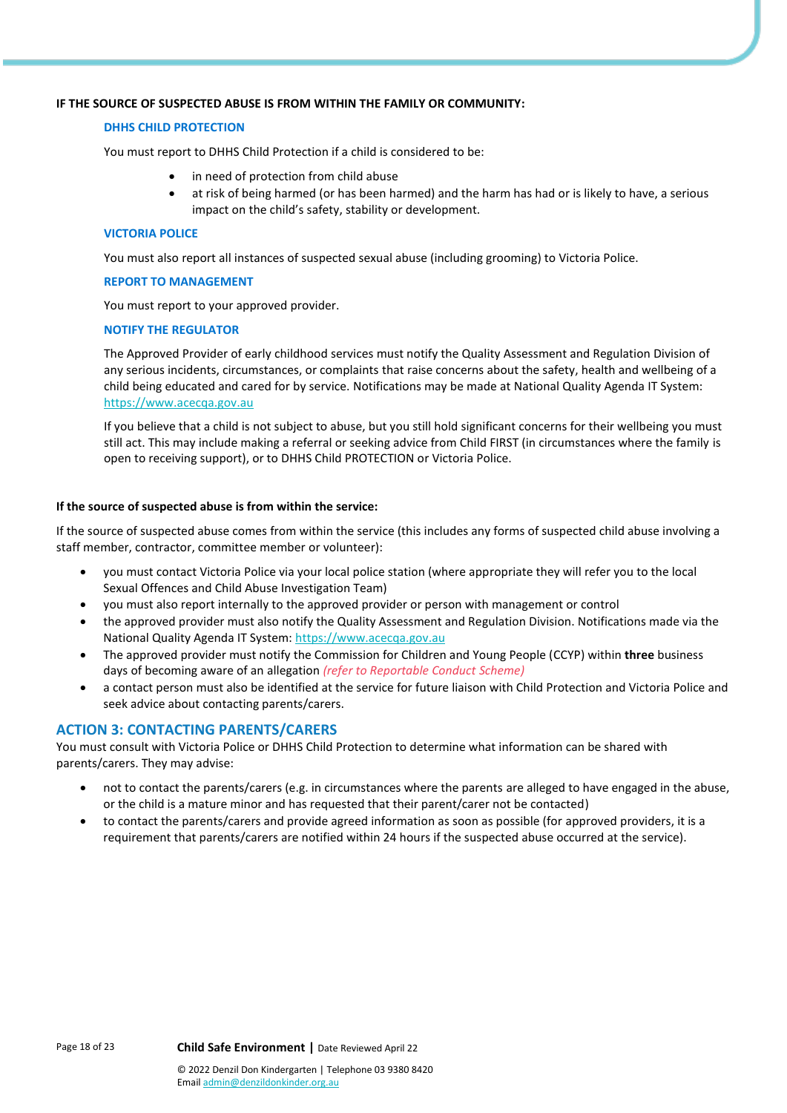#### **IF THE SOURCE OF SUSPECTED ABUSE IS FROM WITHIN THE FAMILY OR COMMUNITY:**

#### **DHHS CHILD PROTECTION**

You must report to DHHS Child Protection if a child is considered to be:

- in need of protection from child abuse
- at risk of being harmed (or has been harmed) and the harm has had or is likely to have, a serious impact on the child's safety, stability or development.

#### **VICTORIA POLICE**

You must also report all instances of suspected sexual abuse (including grooming) to Victoria Police.

#### **REPORT TO MANAGEMENT**

You must report to your approved provider.

#### **NOTIFY THE REGULATOR**

The Approved Provider of early childhood services must notify the Quality Assessment and Regulation Division of any serious incidents, circumstances, or complaints that raise concerns about the safety, health and wellbeing of a child being educated and cared for by service. Notifications may be made at National Quality Agenda IT System: [https://www.acecqa.gov.au](https://www.acecqa.gov.au/)

If you believe that a child is not subject to abuse, but you still hold significant concerns for their wellbeing you must still act. This may include making a referral or seeking advice from Child FIRST (in circumstances where the family is open to receiving support), or to DHHS Child PROTECTION or Victoria Police.

#### **If the source of suspected abuse is from within the service:**

If the source of suspected abuse comes from within the service (this includes any forms of suspected child abuse involving a staff member, contractor, committee member or volunteer):

- you must contact Victoria Police via your local police station (where appropriate they will refer you to the local Sexual Offences and Child Abuse Investigation Team)
- you must also report internally to the approved provider or person with management or control
- the approved provider must also notify the Quality Assessment and Regulation Division. Notifications made via the National Quality Agenda IT System[: https://www.acecqa.gov.au](https://www.acecqa.gov.au/)
- The approved provider must notify the Commission for Children and Young People (CCYP) within **three** business days of becoming aware of an allegation *(refer to Reportable Conduct Scheme)*
- a contact person must also be identified at the service for future liaison with Child Protection and Victoria Police and seek advice about contacting parents/carers.

## **ACTION 3: CONTACTING PARENTS/CARERS**

You must consult with Victoria Police or DHHS Child Protection to determine what information can be shared with parents/carers. They may advise:

- not to contact the parents/carers (e.g. in circumstances where the parents are alleged to have engaged in the abuse, or the child is a mature minor and has requested that their parent/carer not be contacted)
- to contact the parents/carers and provide agreed information as soon as possible (for approved providers, it is a requirement that parents/carers are notified within 24 hours if the suspected abuse occurred at the service).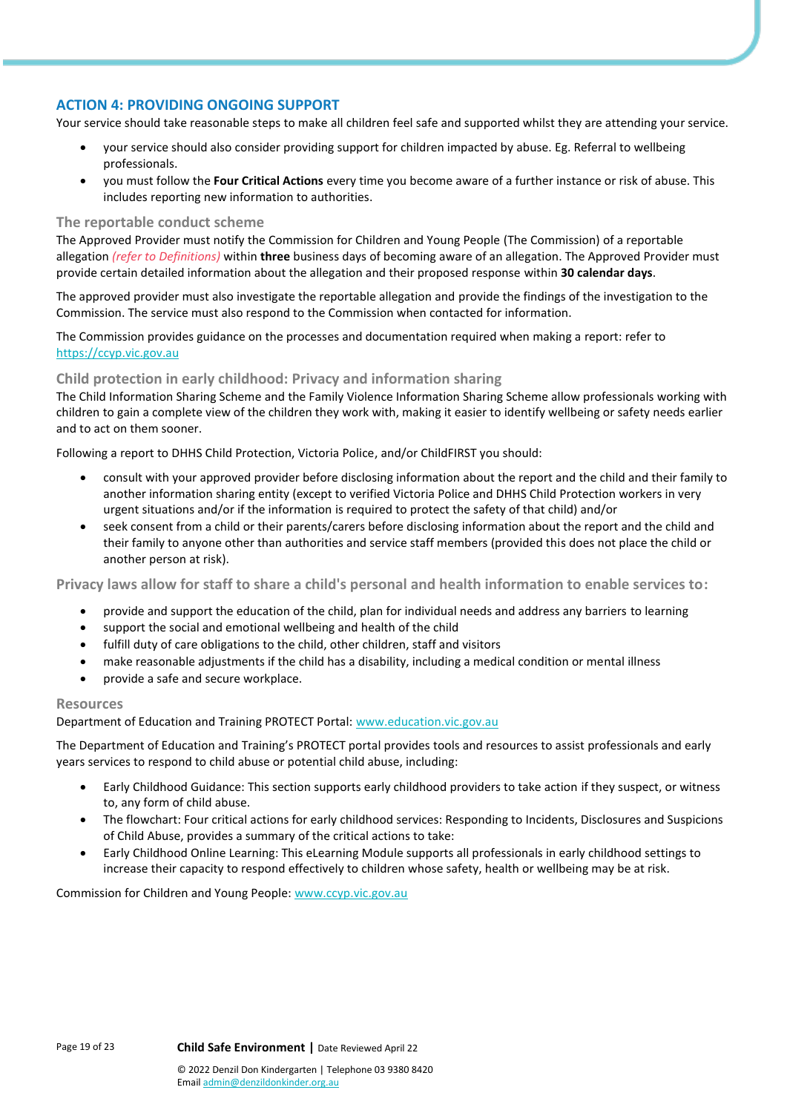## **ACTION 4: PROVIDING ONGOING SUPPORT**

Your service should take reasonable steps to make all children feel safe and supported whilst they are attending your service.

- your service should also consider providing support for children impacted by abuse. Eg. Referral to wellbeing professionals.
- you must follow the **Four Critical Actions** every time you become aware of a further instance or risk of abuse. This includes reporting new information to authorities.

#### **The reportable conduct scheme**

The Approved Provider must notify the Commission for Children and Young People (The Commission) of a reportable allegation *(refer to Definitions)* within **three** business days of becoming aware of an allegation. The Approved Provider must provide certain detailed information about the allegation and their proposed response within **30 calendar days**.

The approved provider must also investigate the reportable allegation and provide the findings of the investigation to the Commission. The service must also respond to the Commission when contacted for information.

The Commission provides guidance on the processes and documentation required when making a report: refer to [https://ccyp.vic.gov.au](https://ccyp.vic.gov.au/)

## **Child protection in early childhood: Privacy and information sharing**

The Child Information Sharing Scheme and the Family Violence Information Sharing Scheme allow professionals working with children to gain a complete view of the children they work with, making it easier to identify wellbeing or safety needs earlier and to act on them sooner.

Following a report to DHHS Child Protection, Victoria Police, and/or ChildFIRST you should:

- consult with your approved provider before disclosing information about the report and the child and their family to another information sharing entity (except to verified Victoria Police and DHHS Child Protection workers in very urgent situations and/or if the information is required to protect the safety of that child) and/or
- seek consent from a child or their parents/carers before disclosing information about the report and the child and their family to anyone other than authorities and service staff members (provided this does not place the child or another person at risk).

**Privacy laws allow for staff to share a child's personal and health information to enable services to:**

- provide and support the education of the child, plan for individual needs and address any barriers to learning
- support the social and emotional wellbeing and health of the child
- fulfill duty of care obligations to the child, other children, staff and visitors
- make reasonable adjustments if the child has a disability, including a medical condition or mental illness
- provide a safe and secure workplace.

#### **Resources**

Department of Education and Training PROTECT Portal: [www.education.vic.gov.au](https://www.education.vic.gov.au/Pages/default.aspx)

The Department of Education and Training's PROTECT portal provides tools and resources to assist professionals and early years services to respond to child abuse or potential child abuse, including:

- Early Childhood Guidance: This section supports early childhood providers to take action if they suspect, or witness to, any form of child abuse.
- The flowchart: Four critical actions for early childhood services: Responding to Incidents, Disclosures and Suspicions of Child Abuse, provides a summary of the critical actions to take:
- Early Childhood Online Learning: This eLearning Module supports all professionals in early childhood settings to increase their capacity to respond effectively to children whose safety, health or wellbeing may be at risk.

Commission for Children and Young People: [www.ccyp.vic.gov.au](https://ccyp.vic.gov.au/)

Emai[l admin@denzildonkinder.org.au](mailto:membersolutions@elaa.org.au)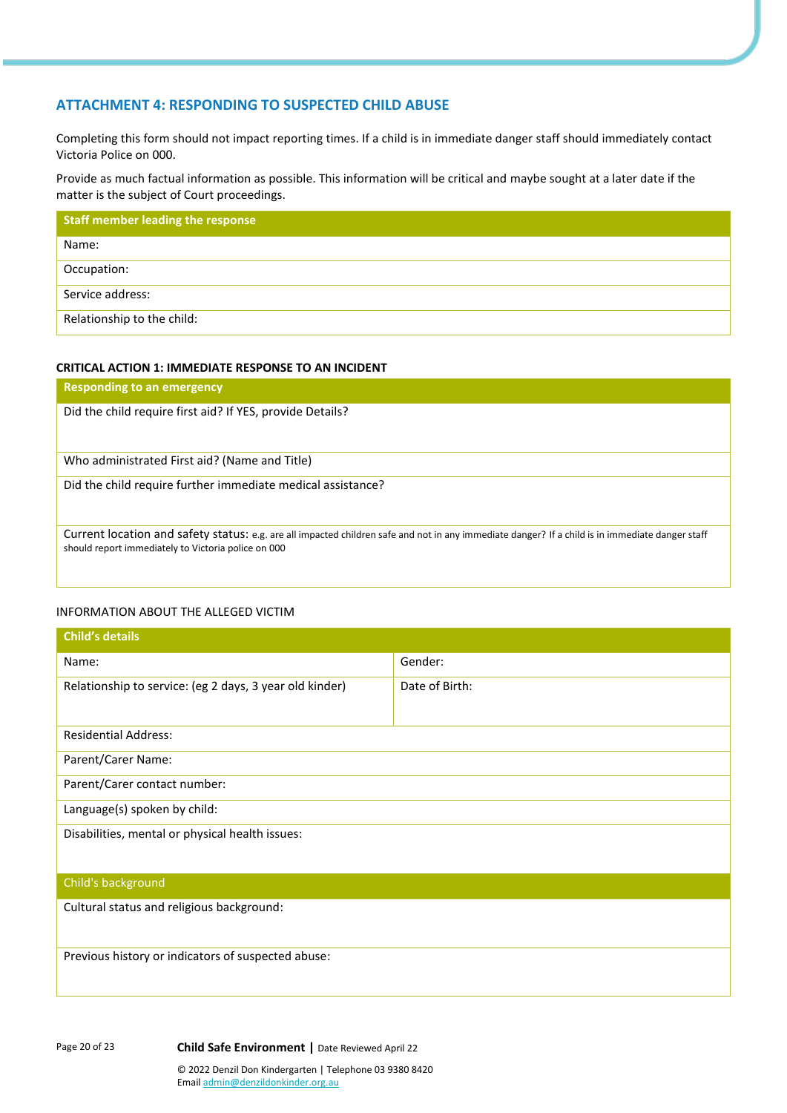## **ATTACHMENT 4: RESPONDING TO SUSPECTED CHILD ABUSE**

Completing this form should not impact reporting times. If a child is in immediate danger staff should immediately contact Victoria Police on 000.

Provide as much factual information as possible. This information will be critical and maybe sought at a later date if the matter is the subject of Court proceedings.

| <b>Staff member leading the response</b> |
|------------------------------------------|
| Name:                                    |
| Occupation:                              |
| Service address:                         |
| Relationship to the child:               |

#### **CRITICAL ACTION 1: IMMEDIATE RESPONSE TO AN INCIDENT**

| <b>Responding to an emergency</b>                                                                                                                                                                       |
|---------------------------------------------------------------------------------------------------------------------------------------------------------------------------------------------------------|
| Did the child require first aid? If YES, provide Details?                                                                                                                                               |
| Who administrated First aid? (Name and Title)                                                                                                                                                           |
| Did the child require further immediate medical assistance?                                                                                                                                             |
| Current location and safety status: e.g. are all impacted children safe and not in any immediate danger? If a child is in immediate danger staff<br>should report immediately to Victoria police on 000 |

#### INFORMATION ABOUT THE ALLEGED VICTIM

| <b>Child's details</b>                                  |                |  |  |  |
|---------------------------------------------------------|----------------|--|--|--|
| Name:                                                   | Gender:        |  |  |  |
| Relationship to service: (eg 2 days, 3 year old kinder) | Date of Birth: |  |  |  |
| <b>Residential Address:</b>                             |                |  |  |  |
| Parent/Carer Name:                                      |                |  |  |  |
| Parent/Carer contact number:                            |                |  |  |  |
| Language(s) spoken by child:                            |                |  |  |  |
| Disabilities, mental or physical health issues:         |                |  |  |  |
| Child's background                                      |                |  |  |  |
| Cultural status and religious background:               |                |  |  |  |
| Previous history or indicators of suspected abuse:      |                |  |  |  |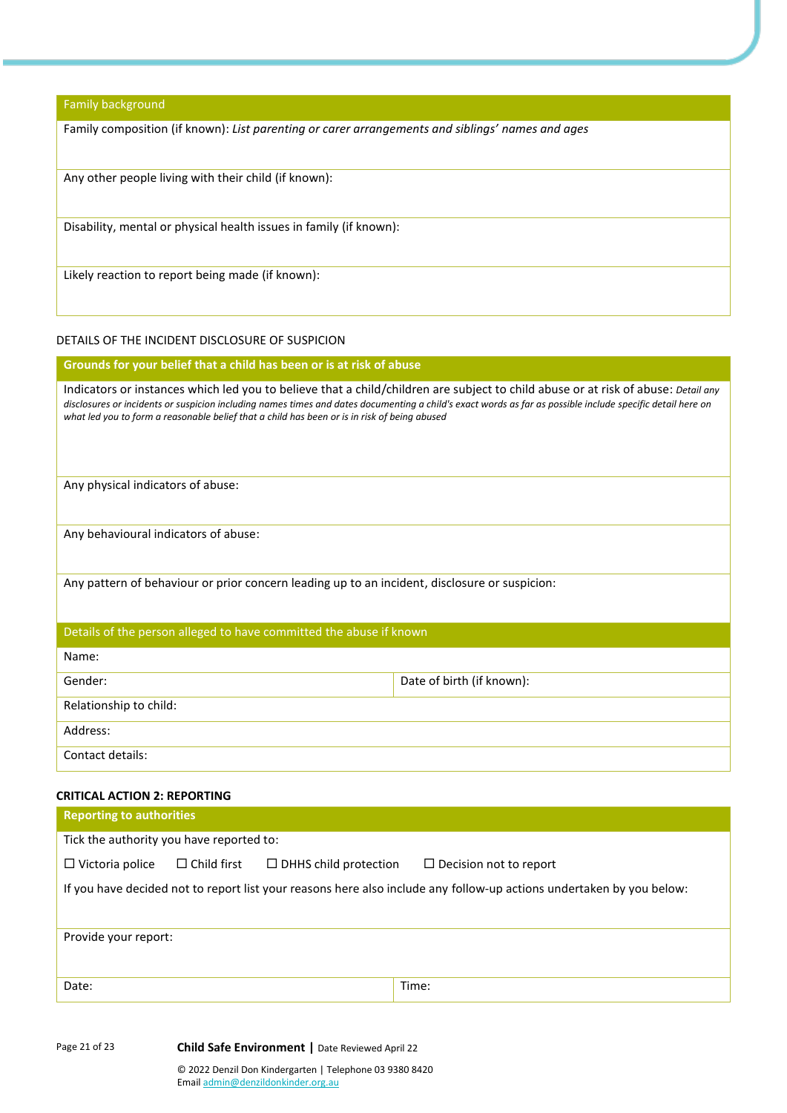Family background

Family composition (if known): *List parenting or carer arrangements and siblings' names and ages*

Any other people living with their child (if known):

Disability, mental or physical health issues in family (if known):

Likely reaction to report being made (if known):

## DETAILS OF THE INCIDENT DISCLOSURE OF SUSPICION

**Grounds for your belief that a child has been or is at risk of abuse** 

| Indicators or instances which led you to believe that a child/children are subject to child abuse or at risk of abuse: Detail any<br>disclosures or incidents or suspicion including names times and dates documenting a child's exact words as far as possible include specific detail here on<br>what led you to form a reasonable belief that a child has been or is in risk of being abused |                           |
|-------------------------------------------------------------------------------------------------------------------------------------------------------------------------------------------------------------------------------------------------------------------------------------------------------------------------------------------------------------------------------------------------|---------------------------|
| Any physical indicators of abuse:                                                                                                                                                                                                                                                                                                                                                               |                           |
| Any behavioural indicators of abuse:                                                                                                                                                                                                                                                                                                                                                            |                           |
| Any pattern of behaviour or prior concern leading up to an incident, disclosure or suspicion:                                                                                                                                                                                                                                                                                                   |                           |
| Details of the person alleged to have committed the abuse if known                                                                                                                                                                                                                                                                                                                              |                           |
| Name:                                                                                                                                                                                                                                                                                                                                                                                           |                           |
| Gender:                                                                                                                                                                                                                                                                                                                                                                                         | Date of birth (if known): |
| Relationship to child:                                                                                                                                                                                                                                                                                                                                                                          |                           |

Address:

Contact details:

## **CRITICAL ACTION 2: REPORTING**

| <b>Reporting to authorities</b>                                                                                      |                                          |                              |                               |  |  |
|----------------------------------------------------------------------------------------------------------------------|------------------------------------------|------------------------------|-------------------------------|--|--|
|                                                                                                                      | Tick the authority you have reported to: |                              |                               |  |  |
| $\Box$ Victoria police                                                                                               | $\Box$ Child first                       | $\Box$ DHHS child protection | $\Box$ Decision not to report |  |  |
| If you have decided not to report list your reasons here also include any follow-up actions undertaken by you below: |                                          |                              |                               |  |  |
| Provide your report:                                                                                                 |                                          |                              |                               |  |  |
| Date:                                                                                                                |                                          |                              | Time:                         |  |  |

Page 21 of 23 **Child Safe Environment |** Date Reviewed April 22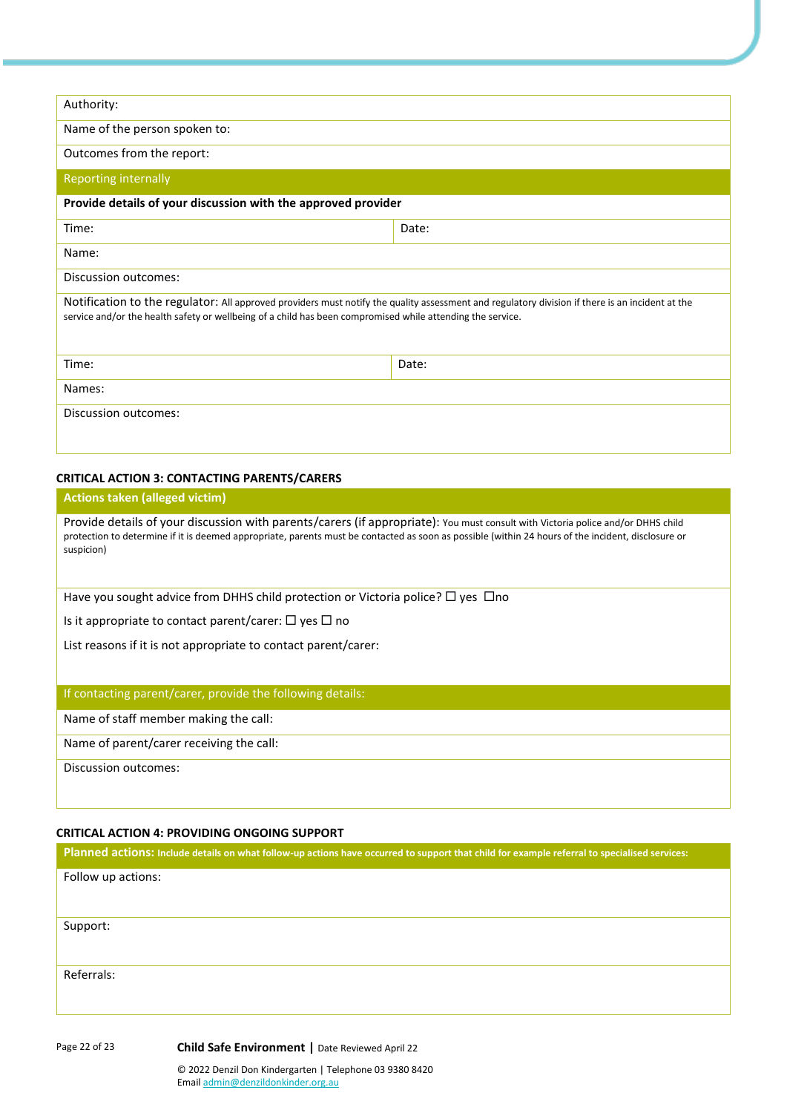| Authority:                                                                                                                                                                                                                                                    |       |  |  |  |
|---------------------------------------------------------------------------------------------------------------------------------------------------------------------------------------------------------------------------------------------------------------|-------|--|--|--|
| Name of the person spoken to:                                                                                                                                                                                                                                 |       |  |  |  |
| Outcomes from the report:                                                                                                                                                                                                                                     |       |  |  |  |
| <b>Reporting internally</b>                                                                                                                                                                                                                                   |       |  |  |  |
| Provide details of your discussion with the approved provider                                                                                                                                                                                                 |       |  |  |  |
| Time:                                                                                                                                                                                                                                                         | Date: |  |  |  |
| Name:                                                                                                                                                                                                                                                         |       |  |  |  |
| Discussion outcomes:                                                                                                                                                                                                                                          |       |  |  |  |
| Notification to the regulator: All approved providers must notify the quality assessment and regulatory division if there is an incident at the<br>service and/or the health safety or wellbeing of a child has been compromised while attending the service. |       |  |  |  |
| Time:                                                                                                                                                                                                                                                         | Date: |  |  |  |
| Names:                                                                                                                                                                                                                                                        |       |  |  |  |
| Discussion outcomes:                                                                                                                                                                                                                                          |       |  |  |  |

#### **CRITICAL ACTION 3: CONTACTING PARENTS/CARERS**

## **Actions taken (alleged victim)**

Provide details of your discussion with parents/carers (if appropriate): You must consult with Victoria police and/or DHHS child protection to determine if it is deemed appropriate, parents must be contacted as soon as possible (within 24 hours of the incident, disclosure or suspicion)

Have you sought advice from DHHS child protection or Victoria police?  $\Box$  yes  $\Box$ no

Is it appropriate to contact parent/carer:  $\Box$  yes  $\Box$  no

List reasons if it is not appropriate to contact parent/carer:

## If contacting parent/carer, provide the following details:

Name of staff member making the call:

Name of parent/carer receiving the call:

Discussion outcomes:

**Planned actions: Include details on what follow-up actions have occurred to support that child for example referral to specialised services:**

## **CRITICAL ACTION 4: PROVIDING ONGOING SUPPORT**

Page 22 of 23 **Child Safe Environment |** Date Reviewed April 22